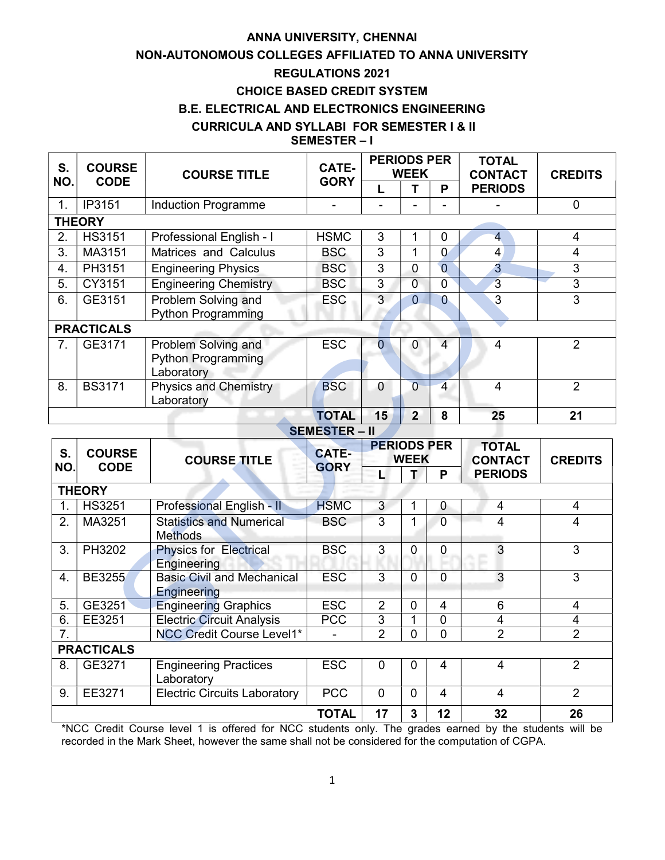# ANNA UNIVERSITY, CHENNAI

# NON-AUTONOMOUS COLLEGES AFFILIATED TO ANNA UNIVERSITY

# REGULATIONS 2021

# CHOICE BASED CREDIT SYSTEM

# B.E. ELECTRICAL AND ELECTRONICS ENGINEERING

### CURRICULA AND SYLLABI FOR SEMESTER I & II

# SEMESTER – I

| <b>COURSE</b><br>S. |                      | <b>COURSE TITLE</b>                        | <b>CATE-</b> | <b>PERIODS PER</b><br><b>WEEK</b> |                |                | <b>TOTAL</b><br><b>CONTACT</b> | <b>CREDITS</b> |  |
|---------------------|----------------------|--------------------------------------------|--------------|-----------------------------------|----------------|----------------|--------------------------------|----------------|--|
| NO.                 | <b>CODE</b>          |                                            | <b>GORY</b>  |                                   |                | Р              | <b>PERIODS</b>                 |                |  |
| 1.                  | IP3151               | <b>Induction Programme</b>                 |              |                                   |                |                |                                | $\overline{0}$ |  |
|                     | <b>THEORY</b>        |                                            |              |                                   |                |                |                                |                |  |
| 2.                  | <b>HS3151</b>        | Professional English - I                   | <b>HSMC</b>  | 3                                 | 1              | 0              | $\overline{4}$                 | 4              |  |
| 3.                  | MA3151               | Matrices and Calculus                      | <b>BSC</b>   | 3                                 | 1              | 0              | 4                              | 4              |  |
| 4.                  | PH3151               | <b>Engineering Physics</b>                 | <b>BSC</b>   | 3                                 | 0              | $\overline{0}$ | $\overline{3}$                 | 3              |  |
| 5.                  | CY3151               | <b>Engineering Chemistry</b>               | <b>BSC</b>   | 3                                 | 0              | 0              | 3                              | 3              |  |
| 6.                  | GE3151               | Problem Solving and                        | <b>ESC</b>   | 3                                 | $\overline{0}$ | $\overline{0}$ | 3                              | 3              |  |
|                     |                      | <b>Python Programming</b>                  |              |                                   |                |                |                                |                |  |
| <b>PRACTICALS</b>   |                      |                                            |              |                                   |                |                |                                |                |  |
| 7.                  | GE3171               | Problem Solving and                        | <b>ESC</b>   |                                   | 0              | 4              | 4                              | $\overline{2}$ |  |
|                     |                      | <b>Python Programming</b>                  |              |                                   |                |                |                                |                |  |
|                     |                      | Laboratory                                 |              |                                   |                |                |                                |                |  |
| 8.                  | <b>BS3171</b>        | <b>Physics and Chemistry</b><br>Laboratory | <b>BSC</b>   | $\mathbf 0$                       | $\overline{0}$ | $\overline{4}$ | 4                              | $\overline{2}$ |  |
|                     |                      |                                            | <b>TOTAL</b> | 15                                | $\overline{2}$ | 8              | 25                             | 21             |  |
|                     | <b>SEMESTER – II</b> |                                            |              |                                   |                |                |                                |                |  |

|                        | 11 J 1 J 1        | maacuon mogrammo                                                     |                      |                                  |                     |                             |                          |                     |
|------------------------|-------------------|----------------------------------------------------------------------|----------------------|----------------------------------|---------------------|-----------------------------|--------------------------|---------------------|
|                        | <b>THEORY</b>     |                                                                      |                      |                                  |                     |                             |                          |                     |
| 2.                     | <b>HS3151</b>     | Professional English - I                                             | <b>HSMC</b>          | 3                                | 1                   | $\mathbf 0$                 | $\overline{\mathcal{A}}$ | 4                   |
| $\overline{3}$ .       | MA3151            | Matrices and Calculus                                                | <b>BSC</b>           | $\overline{3}$                   | $\overline{1}$      | $\overline{0}$              | $\overline{\mathbf{4}}$  | $\overline{4}$      |
| 4.                     | <b>PH3151</b>     | <b>Engineering Physics</b>                                           | <b>BSC</b>           | $\overline{3}$                   | $\overline{0}$      | $\overline{0}$              | $\overline{3}$           | $\overline{3}$      |
| 5.                     | CY3151            | <b>Engineering Chemistry</b>                                         | <b>BSC</b>           | $\overline{3}$                   | $\overline{0}$      | $\mathbf 0$                 | $\overline{3}$           | $\overline{3}$      |
| 6.                     | GE3151            | Problem Solving and                                                  | <b>ESC</b>           | $\overline{3}$                   | $\overline{0}$      | $\overline{0}$              | $\overline{3}$           | $\overline{3}$      |
|                        |                   | <b>Python Programming</b>                                            |                      |                                  |                     |                             |                          |                     |
|                        | <b>PRACTICALS</b> |                                                                      |                      |                                  |                     |                             |                          |                     |
| 7.                     | GE3171            | Problem Solving and                                                  | <b>ESC</b>           | $\overline{0}$                   | $\mathbf 0$         | $\overline{4}$              | $\overline{4}$           | $\overline{2}$      |
|                        |                   | <b>Python Programming</b>                                            |                      |                                  |                     |                             |                          |                     |
|                        |                   | Laboratory                                                           |                      |                                  |                     |                             |                          |                     |
| 8.                     | <b>BS3171</b>     | <b>Physics and Chemistry</b>                                         | <b>BSC</b>           | $\overline{0}$                   | $\overline{0}$      | $\overline{4}$              | $\overline{4}$           | $\overline{2}$      |
|                        |                   | Laboratory                                                           |                      |                                  |                     |                             |                          |                     |
|                        |                   |                                                                      | <b>TOTAL</b>         | 15                               | $\overline{2}$      | 8                           | 25                       | 21                  |
|                        |                   |                                                                      | <b>SEMESTER - II</b> |                                  |                     |                             |                          |                     |
| S.                     | <b>COURSE</b>     |                                                                      | <b>CATE-</b>         | <b>PERIODS PER</b>               |                     | <b>TOTAL</b>                |                          |                     |
|                        | <b>CODE</b>       | <b>COURSE TITLE</b>                                                  |                      | <b>WEEK</b>                      |                     | <b>CONTACT</b>              | <b>CREDITS</b>           |                     |
|                        |                   |                                                                      |                      |                                  |                     |                             |                          |                     |
| NO.                    |                   |                                                                      | <b>GORY</b>          | Ц                                | т                   | P                           | <b>PERIODS</b>           |                     |
|                        | <b>THEORY</b>     |                                                                      |                      |                                  |                     |                             |                          |                     |
| 1.                     | <b>HS3251</b>     | <b>Professional English - II</b>                                     | <b>HSMC</b>          | 3                                | 1                   | 0                           | $\overline{4}$           | $\overline{4}$      |
| 2.                     | MA3251            | <b>Statistics and Numerical</b>                                      | <b>BSC</b>           | $\overline{3}$                   | 1                   | $\overline{0}$              | $\overline{4}$           | 4                   |
|                        |                   | <b>Methods</b>                                                       |                      |                                  |                     |                             |                          |                     |
| 3.                     | PH3202            | <b>Physics for Electrical</b>                                        | <b>BSC</b>           | 3                                | $\mathbf 0$         | $\overline{0}$              | $\overline{3}$           | 3                   |
|                        |                   | Engineering                                                          |                      |                                  |                     |                             |                          |                     |
| 4.                     | <b>BE3255</b>     | <b>Basic Civil and Mechanical</b>                                    | <b>ESC</b>           | $\overline{3}$                   | $\overline{0}$      | $\overline{0}$              | 3                        | $\overline{3}$      |
|                        |                   | Engineering                                                          |                      |                                  |                     |                             |                          |                     |
| 5.                     | GE3251            | <b>Engineering Graphics</b>                                          | <b>ESC</b>           | $\overline{2}$                   | $\mathbf 0$         | 4                           | 6                        | $\overline{4}$      |
| 6.<br>$\overline{7}$ . | EE3251            | <b>Electric Circuit Analysis</b><br><b>NCC Credit Course Level1*</b> | <b>PCC</b>           | $\overline{3}$<br>$\overline{2}$ | 1<br>$\overline{0}$ | $\pmb{0}$<br>$\overline{0}$ | 4<br>$\overline{2}$      | 4<br>$\overline{2}$ |
|                        | <b>PRACTICALS</b> |                                                                      |                      |                                  |                     |                             |                          |                     |
| 8.                     | GE3271            | <b>Engineering Practices</b>                                         | <b>ESC</b>           | $\overline{0}$                   | $\mathbf 0$         | $\overline{4}$              | $\overline{4}$           | $\overline{2}$      |
|                        |                   | Laboratory                                                           |                      |                                  |                     |                             |                          |                     |
| 9.                     | EE3271            | <b>Electric Circuits Laboratory</b>                                  | <b>PCC</b>           | $\mathbf 0$                      | $\mathbf 0$         | $\overline{4}$              | $\overline{4}$           | $\overline{2}$      |

\*NCC Credit Course level 1 is offered for NCC students only. The grades earned by the students will be recorded in the Mark Sheet, however the same shall not be considered for the computation of CGPA.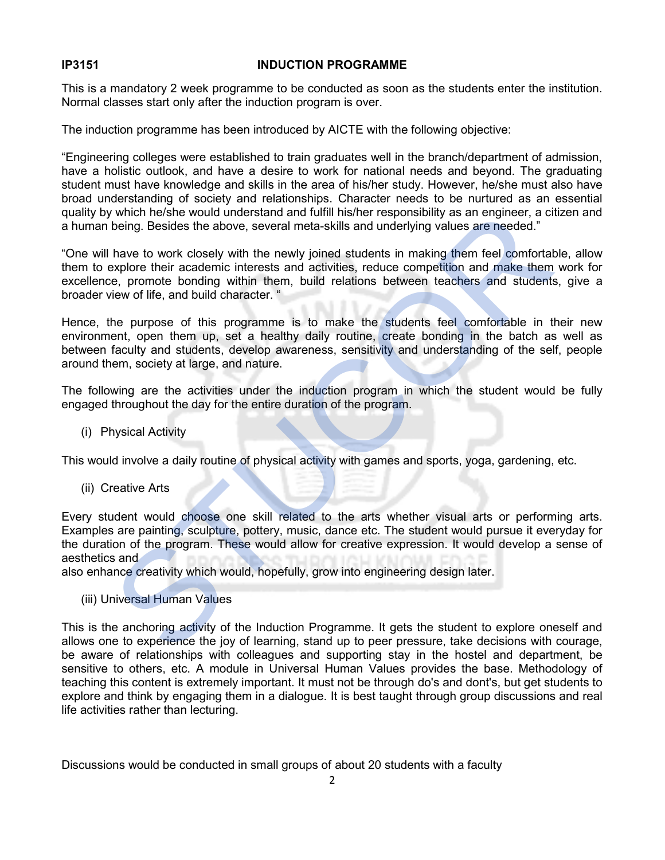#### IP3151 INDUCTION PROGRAMME

This is a mandatory 2 week programme to be conducted as soon as the students enter the institution. Normal classes start only after the induction program is over.

The induction programme has been introduced by AICTE with the following objective:

"Engineering colleges were established to train graduates well in the branch/department of admission, have a holistic outlook, and have a desire to work for national needs and beyond. The graduating student must have knowledge and skills in the area of his/her study. However, he/she must also have broad understanding of society and relationships. Character needs to be nurtured as an essential quality by which he/she would understand and fulfill his/her responsibility as an engineer, a citizen and a human being. Besides the above, several meta-skills and underlying values are needed."

"One will have to work closely with the newly joined students in making them feel comfortable, allow them to explore their academic interests and activities, reduce competition and make them work for excellence, promote bonding within them, build relations between teachers and students, give a broader view of life, and build character. " y which he/she would understand and fulfill his/her responsibility as an engineer, a ci<br>being. Besides the above, several meta-skills and underlying values are needed."<br>
have to work closely with the newly joined students

Hence, the purpose of this programme is to make the students feel comfortable in their new environment, open them up, set a healthy daily routine, create bonding in the batch as well as between faculty and students, develop awareness, sensitivity and understanding of the self, people around them, society at large, and nature.

The following are the activities under the induction program in which the student would be fully engaged throughout the day for the entire duration of the program.

(i) Physical Activity

This would involve a daily routine of physical activity with games and sports, yoga, gardening, etc.

(ii) Creative Arts

Every student would choose one skill related to the arts whether visual arts or performing arts. Examples are painting, sculpture, pottery, music, dance etc. The student would pursue it everyday for the duration of the program. These would allow for creative expression. It would develop a sense of aesthetics and

also enhance creativity which would, hopefully, grow into engineering design later.

#### (iii) Universal Human Values

This is the anchoring activity of the Induction Programme. It gets the student to explore oneself and allows one to experience the joy of learning, stand up to peer pressure, take decisions with courage, be aware of relationships with colleagues and supporting stay in the hostel and department, be sensitive to others, etc. A module in Universal Human Values provides the base. Methodology of teaching this content is extremely important. It must not be through do's and dont's, but get students to explore and think by engaging them in a dialogue. It is best taught through group discussions and real life activities rather than lecturing.

Discussions would be conducted in small groups of about 20 students with a faculty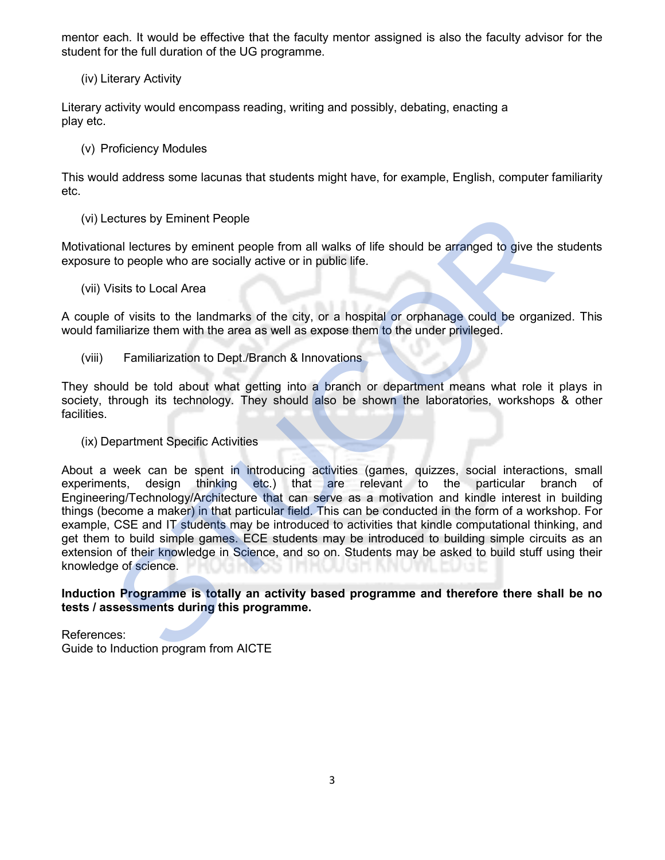mentor each. It would be effective that the faculty mentor assigned is also the faculty advisor for the student for the full duration of the UG programme.

(iv) Literary Activity

Literary activity would encompass reading, writing and possibly, debating, enacting a play etc.

(v) Proficiency Modules

This would address some lacunas that students might have, for example, English, computer familiarity etc.

(vi) Lectures by Eminent People

Motivational lectures by eminent people from all walks of life should be arranged to give the students exposure to people who are socially active or in public life.

(vii) Visits to Local Area

A couple of visits to the landmarks of the city, or a hospital or orphanage could be organized. This would familiarize them with the area as well as expose them to the under privileged.

(viii) Familiarization to Dept./Branch & Innovations

They should be told about what getting into a branch or department means what role it plays in society, through its technology. They should also be shown the laboratories, workshops & other facilities.

(ix) Department Specific Activities

About a week can be spent in introducing activities (games, quizzes, social interactions, small experiments, design thinking etc.) that are relevant to the particular branch of Engineering/Technology/Architecture that can serve as a motivation and kindle interest in building things (become a maker) in that particular field. This can be conducted in the form of a workshop. For example, CSE and IT students may be introduced to activities that kindle computational thinking, and get them to build simple games. ECE students may be introduced to building simple circuits as an extension of their knowledge in Science, and so on. Students may be asked to build stuff using their knowledge of science. (vi) Lectures by Eminent People<br>
Motivational lectures by eminent people from all walks of life should be arranged to give the<br>
exposure to people who are socially active or in public life.<br>
(vii) Visits to Local Area<br>
(vi

Induction Programme is totally an activity based programme and therefore there shall be no tests / assessments during this programme.

References: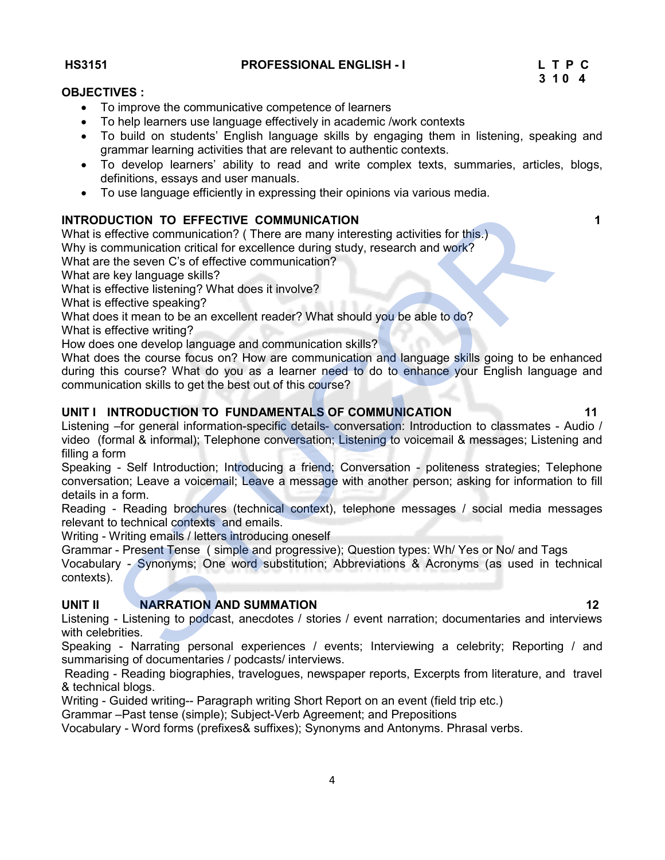HS3151 PROFESSIONAL ENGLISH - I L T P C

# $3 \; 1 \; 0 \; 4$

### OBJECTIVES :

- To improve the communicative competence of learners
- To help learners use language effectively in academic /work contexts
- To build on students' English language skills by engaging them in listening, speaking and grammar learning activities that are relevant to authentic contexts.
- To develop learners' ability to read and write complex texts, summaries, articles, blogs, definitions, essays and user manuals.
- To use language efficiently in expressing their opinions via various media.

# INTRODUCTION TO EFFECTIVE COMMUNICATION 1

What is effective communication? (There are many interesting activities for this.)

Why is communication critical for excellence during study, research and work?

What are the seven C's of effective communication?

What are key language skills?

What is effective listening? What does it involve?

What is effective speaking?

What does it mean to be an excellent reader? What should you be able to do?

What is effective writing?

How does one develop language and communication skills?

What does the course focus on? How are communication and language skills going to be enhanced during this course? What do you as a learner need to do to enhance your English language and communication skills to get the best out of this course? UCTION TO EFFECTIVE COMMUNICATION<br>
signification communication of (There are many interesting activities for this.)<br>
Shortommunication critical for excellence during study, research and work?<br>
the seven C's of effective co

# UNIT I INTRODUCTION TO FUNDAMENTALS OF COMMUNICATION **11** 11

Listening –for general information-specific details- conversation: Introduction to classmates - Audio / video (formal & informal); Telephone conversation; Listening to voicemail & messages; Listening and filling a form

Speaking - Self Introduction; Introducing a friend; Conversation - politeness strategies; Telephone conversation; Leave a voicemail; Leave a message with another person; asking for information to fill details in a form.

Reading - Reading brochures (technical context), telephone messages / social media messages relevant to technical contexts and emails.

Writing - Writing emails / letters introducing oneself

Grammar - Present Tense ( simple and progressive); Question types: Wh/ Yes or No/ and Tags

Vocabulary - Synonyms; One word substitution; Abbreviations & Acronyms (as used in technical contexts).

# UNIT II NARRATION AND SUMMATION 12

Listening - Listening to podcast, anecdotes / stories / event narration; documentaries and interviews with celebrities.

Speaking - Narrating personal experiences / events; Interviewing a celebrity; Reporting / and summarising of documentaries / podcasts/ interviews.

 Reading - Reading biographies, travelogues, newspaper reports, Excerpts from literature, and travel & technical blogs.

Writing - Guided writing-- Paragraph writing Short Report on an event (field trip etc.)

Grammar –Past tense (simple); Subject-Verb Agreement; and Prepositions

Vocabulary - Word forms (prefixes& suffixes); Synonyms and Antonyms. Phrasal verbs.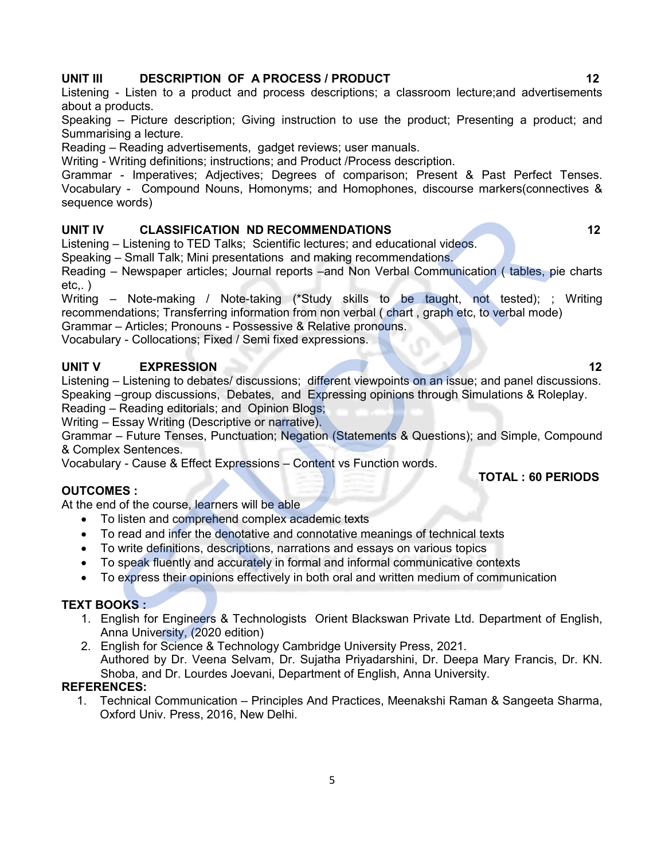# UNIT III DESCRIPTION OF A PROCESS / PRODUCT 12

Listening - Listen to a product and process descriptions; a classroom lecture;and advertisements about a products.

Speaking – Picture description; Giving instruction to use the product; Presenting a product; and Summarising a lecture.

Reading – Reading advertisements, gadget reviews; user manuals.

Writing - Writing definitions; instructions; and Product /Process description.

Grammar - Imperatives; Adjectives; Degrees of comparison; Present & Past Perfect Tenses. Vocabulary - Compound Nouns, Homonyms; and Homophones, discourse markers(connectives & sequence words)

# UNIT IV CLASSIFICATION ND RECOMMENDATIONS 12

Listening – Listening to TED Talks; Scientific lectures; and educational videos.

Speaking – Small Talk; Mini presentations and making recommendations.

Reading – Newspaper articles; Journal reports –and Non Verbal Communication ( tables, pie charts  $etc.,$ )

Writing – Note-making / Note-taking (\*Study skills to be taught, not tested); ; Writing recommendations; Transferring information from non verbal ( chart , graph etc, to verbal mode) CLASSIFICATION ND RECOMMENDATIONS<br>
- Listening to TED Talks; Scientific lectures; and educational videos.<br>
- Small Talk; Mini presentations and making recommendations.<br>
- Newspaper articles; Journal reports and Non Verbal

Grammar – Articles; Pronouns - Possessive & Relative pronouns.

Vocabulary - Collocations; Fixed / Semi fixed expressions.

# UNIT V EXPRESSION 12

Listening – Listening to debates/ discussions; different viewpoints on an issue; and panel discussions. Speaking –group discussions, Debates, and Expressing opinions through Simulations & Roleplay.

Reading – Reading editorials; and Opinion Blogs;

Writing – Essay Writing (Descriptive or narrative).

Grammar – Future Tenses, Punctuation; Negation (Statements & Questions); and Simple, Compound & Complex Sentences.

Vocabulary - Cause & Effect Expressions – Content vs Function words.

# OUTCOMES :

At the end of the course, learners will be able

- To listen and comprehend complex academic texts
- To read and infer the denotative and connotative meanings of technical texts
- To write definitions, descriptions, narrations and essays on various topics
- To speak fluently and accurately in formal and informal communicative contexts
- To express their opinions effectively in both oral and written medium of communication

# TEXT BOOKS :

- 1. English for Engineers & Technologists Orient Blackswan Private Ltd. Department of English, Anna University, (2020 edition)
- 2. English for Science & Technology Cambridge University Press, 2021. Authored by Dr. Veena Selvam, Dr. Sujatha Priyadarshini, Dr. Deepa Mary Francis, Dr. KN. Shoba, and Dr. Lourdes Joevani, Department of English, Anna University.

# REFERENCES:

1. Technical Communication – Principles And Practices, Meenakshi Raman & Sangeeta Sharma, Oxford Univ. Press, 2016, New Delhi.

TOTAL : 60 PERIODS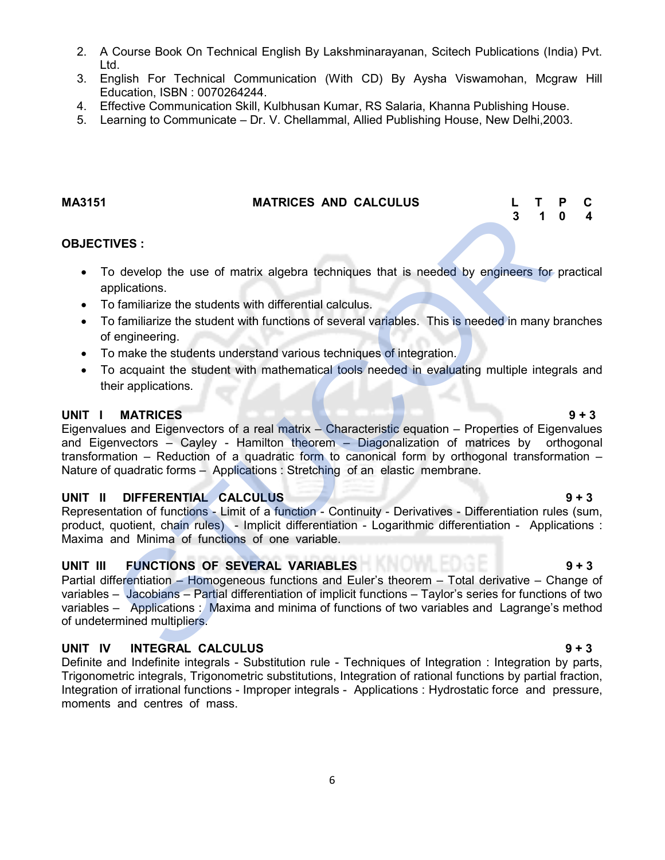- 2. A Course Book On Technical English By Lakshminarayanan, Scitech Publications (India) Pvt. Ltd.
- 3. English For Technical Communication (With CD) By Aysha Viswamohan, Mcgraw Hill Education, ISBN : 0070264244.
- 4. Effective Communication Skill, Kulbhusan Kumar, RS Salaria, Khanna Publishing House.
- 5. Learning to Communicate Dr. V. Chellammal, Allied Publishing House, New Delhi,2003.

#### MA3151 MATRICES AND CALCULUS L T P C

### OBJECTIVES :

- To develop the use of matrix algebra techniques that is needed by engineers for practical applications.
- To familiarize the students with differential calculus.
- To familiarize the student with functions of several variables. This is needed in many branches of engineering.
- To make the students understand various techniques of integration.
- To acquaint the student with mathematical tools needed in evaluating multiple integrals and their applications.

#### UNIT I MATRICES 9 + 3

Eigenvalues and Eigenvectors of a real matrix – Characteristic equation – Properties of Eigenvalues and Eigenvectors – Cayley - Hamilton theorem – Diagonalization of matrices by orthogonal transformation – Reduction of a quadratic form to canonical form by orthogonal transformation – Nature of quadratic forms – Applications : Stretching of an elastic membrane. THES :<br>
Saylong the use of matrix algebra techniques that is needed by engineers for<br>
pplications.<br>
Continizative the student with differential calculus.<br>
Continizative the student with functions of several variables. This

# UNIT II DIFFERENTIAL CALCULUS 6 + 3

Representation of functions - Limit of a function - Continuity - Derivatives - Differentiation rules (sum, product, quotient, chain rules) - Implicit differentiation - Logarithmic differentiation - Applications : Maxima and Minima of functions of one variable.

# UNIT III FUNCTIONS OF SEVERAL VARIABLES 9 + 3

Partial differentiation – Homogeneous functions and Euler's theorem – Total derivative – Change of variables – Jacobians – Partial differentiation of implicit functions – Taylor's series for functions of two variables – Applications : Maxima and minima of functions of two variables and Lagrange's method of undetermined multipliers.

# UNIT IV INTEGRAL CALCULUS 9 + 3

Definite and Indefinite integrals - Substitution rule - Techniques of Integration : Integration by parts, Trigonometric integrals, Trigonometric substitutions, Integration of rational functions by partial fraction, Integration of irrational functions - Improper integrals - Applications : Hydrostatic force and pressure, moments and centres of mass.

# 3 1 0 4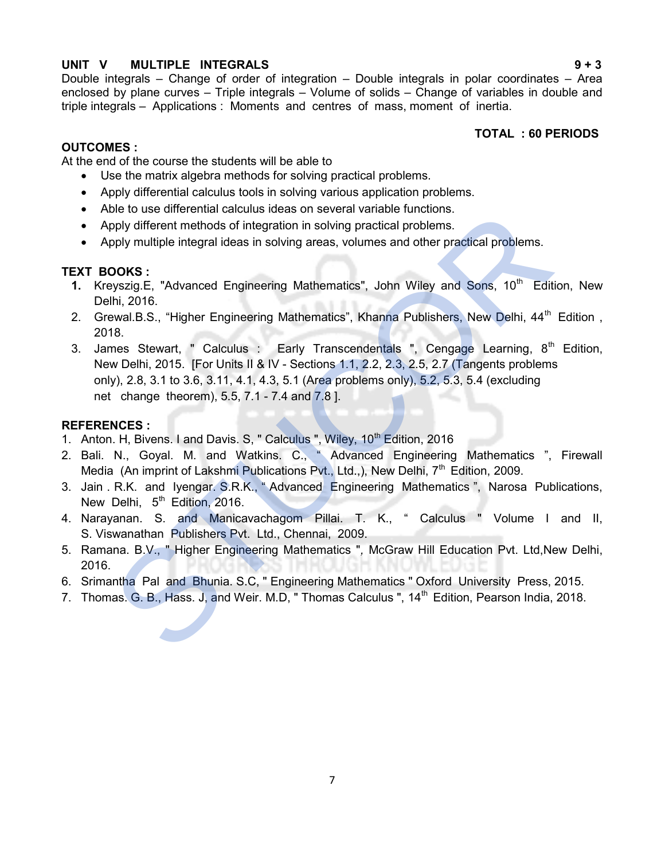# UNIT V MULTIPLE INTEGRALS 9 + 3

Double integrals – Change of order of integration – Double integrals in polar coordinates – Area enclosed by plane curves – Triple integrals – Volume of solids – Change of variables in double and triple integrals – Applications : Moments and centres of mass, moment of inertia.

TOTAL : 60 PERIODS

# OUTCOMES :

At the end of the course the students will be able to

- Use the matrix algebra methods for solving practical problems.
- Apply differential calculus tools in solving various application problems.
- Able to use differential calculus ideas on several variable functions.
- Apply different methods of integration in solving practical problems.
- Apply multiple integral ideas in solving areas, volumes and other practical problems.

# TEXT BOOKS :

- 1. Kreyszig.E, "Advanced Engineering Mathematics", John Wiley and Sons, 10<sup>th</sup> Edition, New Delhi, 2016.
- 2. Grewal.B.S., "Higher Engineering Mathematics", Khanna Publishers, New Delhi, 44<sup>th</sup> Edition, 2018.
- 3. James Stewart, " Calculus : Early Transcendentals ", Cengage Learning, 8<sup>th</sup> Edition, New Delhi, 2015. [For Units II & IV - Sections 1.1, 2.2, 2.3, 2.5, 2.7 (Tangents problems only), 2.8, 3.1 to 3.6, 3.11, 4.1, 4.3, 5.1 (Area problems only), 5.2, 5.3, 5.4 (excluding net change theorem), 5.5, 7.1 - 7.4 and 7.8 ]. • Abe to use differential calculus at eas on several variable functions.<br>
• Apply different methods of integration in solving practical problems.<br>
• Apply multiple integral ideas in solving areas, volumes and other pract

# REFERENCES :

- 1. Anton. H, Bivens. I and Davis. S, " Calculus ", Wiley, 10<sup>th</sup> Edition, 2016
- 2. Bali. N., Goyal. M. and Watkins. C., " Advanced Engineering Mathematics ", Firewall Media (An imprint of Lakshmi Publications Pvt., Ltd.,), New Delhi,  $7<sup>th</sup>$  Edition, 2009.
- 3. Jain . R.K. and Iyengar. S.R.K., " Advanced Engineering Mathematics ", Narosa Publications, New Delhi, 5<sup>th</sup> Edition, 2016.
- 4. Narayanan. S. and Manicavachagom Pillai. T. K., " Calculus " Volume I and II, S. Viswanathan Publishers Pvt. Ltd., Chennai, 2009.
- 5. Ramana. B.V., "Higher Engineering Mathematics ", McGraw Hill Education Pvt. Ltd, New Delhi, 2016.
- 6. Srimantha Pal and Bhunia. S.C, " Engineering Mathematics " Oxford University Press, 2015.
-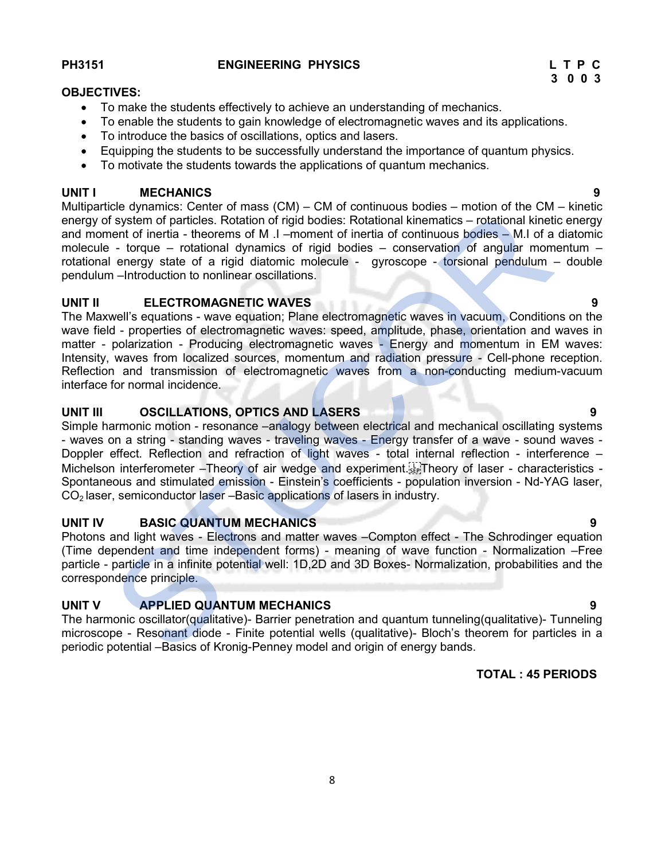#### PH3151 ENGINEERING PHYSICS L T P C

#### OBJECTIVES:

- To make the students effectively to achieve an understanding of mechanics.
- To enable the students to gain knowledge of electromagnetic waves and its applications.
- To introduce the basics of oscillations, optics and lasers.
- Equipping the students to be successfully understand the importance of quantum physics.
- To motivate the students towards the applications of quantum mechanics.

#### UNIT I MECHANICS 9

Multiparticle dynamics: Center of mass (CM) – CM of continuous bodies – motion of the CM – kinetic energy of system of particles. Rotation of rigid bodies: Rotational kinematics – rotational kinetic energy and moment of inertia - theorems of M .I –moment of inertia of continuous bodies – M.I of a diatomic molecule - torque – rotational dynamics of rigid bodies – conservation of angular momentum – rotational energy state of a rigid diatomic molecule - gyroscope - torsional pendulum - double pendulum –Introduction to nonlinear oscillations.

#### UNIT II ELECTROMAGNETIC WAVES 9

The Maxwell's equations - wave equation; Plane electromagnetic waves in vacuum, Conditions on the wave field - properties of electromagnetic waves: speed, amplitude, phase, orientation and waves in matter - polarization - Producing electromagnetic waves - Energy and momentum in EM waves: Intensity, waves from localized sources, momentum and radiation pressure - Cell-phone reception. Reflection and transmission of electromagnetic waves from a non-conducting medium-vacuum interface for normal incidence.

# UNIT III OSCILLATIONS, OPTICS AND LASERS 1999 POINT III OSCILLATIONS, OPTICS AND LASERS

Simple harmonic motion - resonance –analogy between electrical and mechanical oscillating systems - waves on a string - standing waves - traveling waves - Energy transfer of a wave - sound waves - Doppler effect. Reflection and refraction of light waves - total internal reflection - interference – Michelson interferometer – Theory of air wedge and experiment.<sup>T</sup> Theory of laser - characteristics -Spontaneous and stimulated emission - Einstein's coefficients - population inversion - Nd-YAG laser, CO<sub>2</sub> laser, semiconductor laser –Basic applications of lasers in industry. muniparative tynimities. Jenier or invias (tow) – cow ot continuous boutes – intotion to the Commented Contential Herman moment of herita - theorems of M. I - imment of minical periodic - M. I a diator contential energy of

#### UNIT IV BASIC QUANTUM MECHANICS 9

Photons and light waves - Electrons and matter waves –Compton effect - The Schrodinger equation (Time dependent and time independent forms) - meaning of wave function - Normalization –Free particle - particle in a infinite potential well: 1D,2D and 3D Boxes- Normalization, probabilities and the correspondence principle.

#### UNIT V APPLIED QUANTUM MECHANICS 9

The harmonic oscillator(qualitative)- Barrier penetration and quantum tunneling(qualitative)- Tunneling microscope - Resonant diode - Finite potential wells (qualitative)- Bloch's theorem for particles in a

# TOTAL : 45 PERIODS

3 0 0 3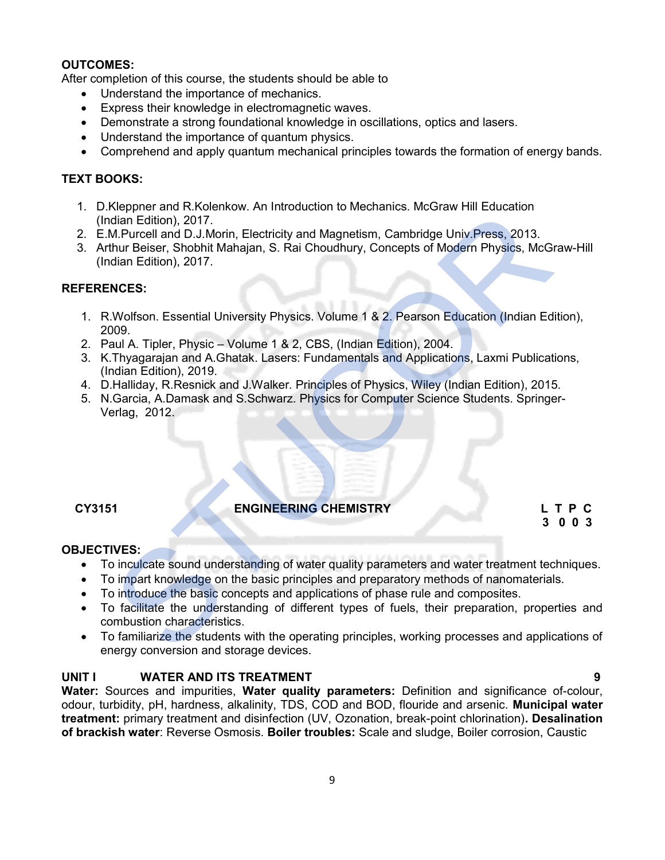### OUTCOMES:

After completion of this course, the students should be able to

- Understand the importance of mechanics.
- Express their knowledge in electromagnetic waves.
- Demonstrate a strong foundational knowledge in oscillations, optics and lasers.
- Understand the importance of quantum physics.
- Comprehend and apply quantum mechanical principles towards the formation of energy bands.

### TEXT BOOKS:

- 1. D.Kleppner and R.Kolenkow. An Introduction to Mechanics. McGraw Hill Education (Indian Edition), 2017.
- 2. E.M.Purcell and D.J.Morin, Electricity and Magnetism, Cambridge Univ.Press, 2013.
- 3. Arthur Beiser, Shobhit Mahajan, S. Rai Choudhury, Concepts of Modern Physics, McGraw-Hill (Indian Edition), 2017.

# REFERENCES:

- 1. R.Wolfson. Essential University Physics. Volume 1 & 2. Pearson Education (Indian Edition), 2009.
- 2. Paul A. Tipler, Physic Volume 1 & 2, CBS, (Indian Edition), 2004.
- 3. K.Thyagarajan and A.Ghatak. Lasers: Fundamentals and Applications, Laxmi Publications, (Indian Edition), 2019. Neppler and R. Kolentary, Arif Interded Interded Interded Universed Internal Collin Edition), 2017.<br>
M. Purcell and D.J.Morin, Electricity and Magnetism, Cambridge Univ. Press, 2013.<br>
M. Purcell and D.J.Morin, Electricity
- 4. D.Halliday, R.Resnick and J.Walker. Principles of Physics, Wiley (Indian Edition), 2015.
- 5. N.Garcia, A.Damask and S.Schwarz. Physics for Computer Science Students. Springer-Verlag, 2012.

#### CY3151 ENGINEERING CHEMISTRY L T P C

# 3 0 0 3

#### OBJECTIVES:

- To inculcate sound understanding of water quality parameters and water treatment techniques.
- To impart knowledge on the basic principles and preparatory methods of nanomaterials.
- To introduce the basic concepts and applications of phase rule and composites.
- To facilitate the understanding of different types of fuels, their preparation, properties and combustion characteristics.
- To familiarize the students with the operating principles, working processes and applications of energy conversion and storage devices.

### UNIT I WATER AND ITS TREATMENT 9

Water: Sources and impurities, Water quality parameters: Definition and significance of-colour, odour, turbidity, pH, hardness, alkalinity, TDS, COD and BOD, flouride and arsenic. Municipal water treatment: primary treatment and disinfection (UV, Ozonation, break-point chlorination). Desalination of brackish water: Reverse Osmosis. Boiler troubles: Scale and sludge, Boiler corrosion, Caustic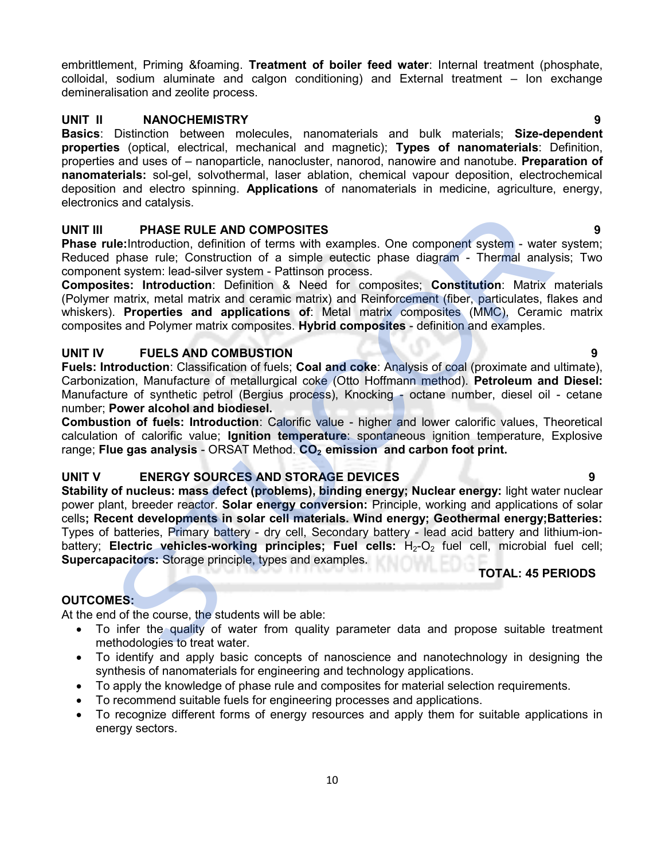embrittlement, Priming &foaming. Treatment of boiler feed water: Internal treatment (phosphate, colloidal, sodium aluminate and calgon conditioning) and External treatment – Ion exchange demineralisation and zeolite process.

### UNIT II NANOCHEMISTRY 9

Basics: Distinction between molecules, nanomaterials and bulk materials; Size-dependent properties (optical, electrical, mechanical and magnetic); Types of nanomaterials: Definition, properties and uses of – nanoparticle, nanocluster, nanorod, nanowire and nanotube. Preparation of nanomaterials: sol-gel, solvothermal, laser ablation, chemical vapour deposition, electrochemical deposition and electro spinning. Applications of nanomaterials in medicine, agriculture, energy, electronics and catalysis.

# UNIT III PHASE RULE AND COMPOSITES 9

**Phase rule:**Introduction, definition of terms with examples. One component system - water system; Reduced phase rule; Construction of a simple eutectic phase diagram - Thermal analysis; Two component system: lead-silver system - Pattinson process.

Composites: Introduction: Definition & Need for composites; Constitution: Matrix materials (Polymer matrix, metal matrix and ceramic matrix) and Reinforcement (fiber, particulates, flakes and whiskers). Properties and applications of: Metal matrix composites (MMC), Ceramic matrix composites and Polymer matrix composites. Hybrid composites - definition and examples.

### UNIT IV FUELS AND COMBUSTION 8

Fuels: Introduction: Classification of fuels; Coal and coke: Analysis of coal (proximate and ultimate), Carbonization, Manufacture of metallurgical coke (Otto Hoffmann method). Petroleum and Diesel: Manufacture of synthetic petrol (Bergius process), Knocking - octane number, diesel oil - cetane number; Power alcohol and biodiesel.

Combustion of fuels: Introduction: Calorific value - higher and lower calorific values, Theoretical calculation of calorific value; Ignition temperature: spontaneous ignition temperature, Explosive range; Flue gas analysis - ORSAT Method.  $CO<sub>2</sub>$  emission and carbon foot print.

# UNIT V ENERGY SOURCES AND STORAGE DEVICES 49

Stability of nucleus: mass defect (problems), binding energy; Nuclear energy: light water nuclear power plant, breeder reactor. **Solar energy conversion:** Principle, working and applications of solar cells; Recent developments in solar cell materials. Wind energy; Geothermal energy;Batteries: Types of batteries, Primary battery - dry cell, Secondary battery - lead acid battery and lithium-ionbattery; Electric vehicles-working principles; Fuel cells:  $H_2-O_2$  fuel cell, microbial fuel cell; Supercapacitors: Storage principle, types and examples. **PHASE RULE AND COMPOSITES**<br> **UB:**:httpduction, definition of terms with examples. One component system - water<br>
the hase rule; Construction of a simple extect is phase rule; Constitution: Thermal analy<br>
intent system: lea

# TOTAL: 45 PERIODS

# OUTCOMES:

At the end of the course, the students will be able:

- To infer the quality of water from quality parameter data and propose suitable treatment methodologies to treat water.
- To identify and apply basic concepts of nanoscience and nanotechnology in designing the synthesis of nanomaterials for engineering and technology applications.
- To apply the knowledge of phase rule and composites for material selection requirements.
- To recommend suitable fuels for engineering processes and applications.
- To recognize different forms of energy resources and apply them for suitable applications in energy sectors.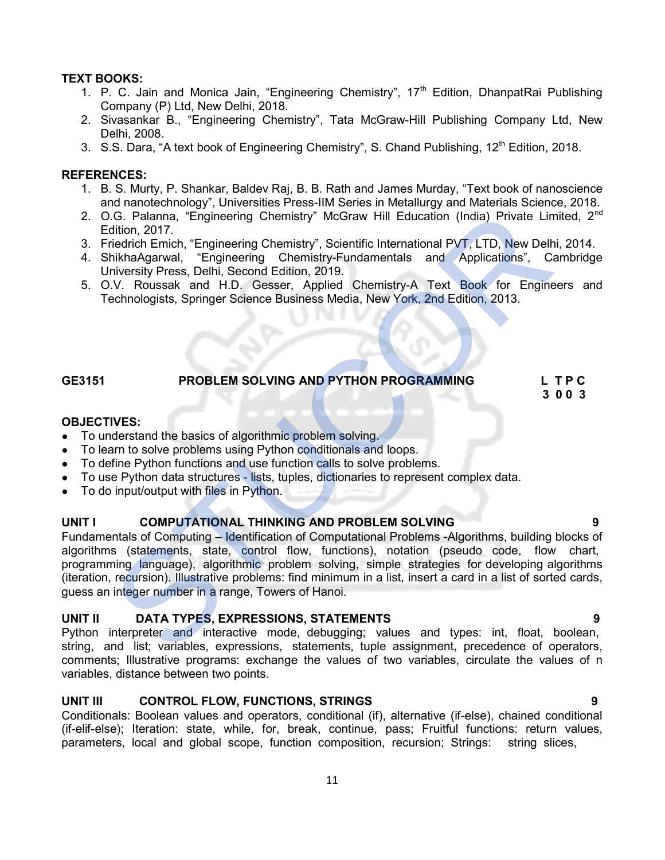# TEXT BOOKS:

- 1. P. C. Jain and Monica Jain, "Engineering Chemistry",  $17<sup>th</sup>$  Edition, DhanpatRai Publishing Company (P) Ltd, New Delhi, 2018.
- 2. Sivasankar B., "Engineering Chemistry", Tata McGraw-Hill Publishing Company Ltd, New Delhi, 2008.
- 3. S.S. Dara, "A text book of Engineering Chemistry", S. Chand Publishing, 12<sup>th</sup> Edition, 2018.

### REFERENCES:

- 1. B. S. Murty, P. Shankar, Baldev Raj, B. B. Rath and James Murday, "Text book of nanoscience and nanotechnology", Universities Press-IIM Series in Metallurgy and Materials Science, 2018.
- 2. O.G. Palanna, "Engineering Chemistry" McGraw Hill Education (India) Private Limited, 2<sup>nd</sup> Edition, 2017.
- 3. Friedrich Emich, "Engineering Chemistry", Scientific International PVT, LTD, New Delhi, 2014.
- 4. ShikhaAgarwal, "Engineering Chemistry-Fundamentals and Applications", Cambridge University Press, Delhi, Second Edition, 2019.
- 5. O.V. Roussak and H.D. Gesser, Applied Chemistry-A Text Book for Engineers and Technologists, Springer Science Business Media, New York, 2nd Edition, 2013.

# GE3151 PROBLEM SOLVING AND PYTHON PROGRAMMING L T P C

3 0 0 3

### OBJECTIVES:

- To understand the basics of algorithmic problem solving.
- To learn to solve problems using Python conditionals and loops.
- To define Python functions and use function calls to solve problems.
- To use Python data structures lists, tuples, dictionaries to represent complex data.
- To do input/output with files in Python.

# UNIT I COMPUTATIONAL THINKING AND PROBLEM SOLVING **FOULD** 9

Fundamentals of Computing – Identification of Computational Problems -Algorithms, building blocks of algorithms (statements, state, control flow, functions), notation (pseudo code, flow chart, programming language), algorithmic problem solving, simple strategies for developing algorithms (iteration, recursion). Illustrative problems: find minimum in a list, insert a card in a list of sorted cards, guess an integer number in a range, Towers of Hanoi. Co. Palanna, "Engineering Chemistry" McGraw Hill Education (India) Private Lim<br>
dition, 2017.<br>
riedicto Emich, "Engineering Chemistry", Scientific International PVT, LTD, New Delh<br>
riedicto Emich, "Engineering Chemistry",

# UNIT II DATA TYPES, EXPRESSIONS, STATEMENTS 9

Python interpreter and interactive mode, debugging; values and types: int, float, boolean, string, and list; variables, expressions, statements, tuple assignment, precedence of operators, comments; Illustrative programs: exchange the values of two variables, circulate the values of n variables, distance between two points.

# UNIT III CONTROL FLOW, FUNCTIONS, STRINGS 9

Conditionals: Boolean values and operators, conditional (if), alternative (if-else), chained conditional (if-elif-else); Iteration: state, while, for, break, continue, pass; Fruitful functions: return values, parameters, local and global scope, function composition, recursion; Strings: string slices,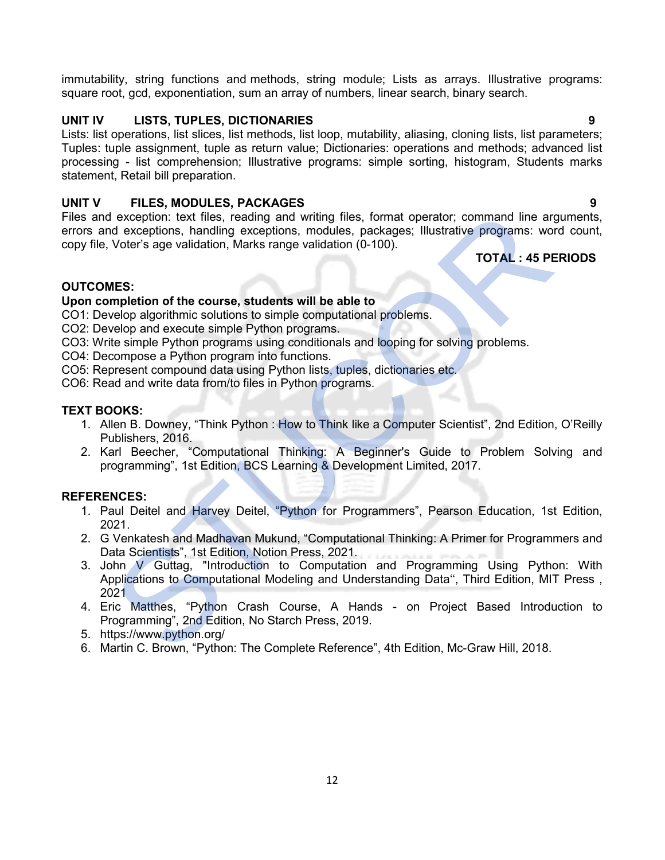immutability, string functions and methods, string module; Lists as arrays. Illustrative programs: square root, gcd, exponentiation, sum an array of numbers, linear search, binary search.

# UNIT IV LISTS, TUPLES, DICTIONARIES 9

Lists: list operations, list slices, list methods, list loop, mutability, aliasing, cloning lists, list parameters; Tuples: tuple assignment, tuple as return value; Dictionaries: operations and methods; advanced list processing - list comprehension; Illustrative programs: simple sorting, histogram, Students marks statement, Retail bill preparation.

# UNIT V FILES, MODULES, PACKAGES 9

Files and exception: text files, reading and writing files, format operator; command line arguments, errors and exceptions, handling exceptions, modules, packages; Illustrative programs: word count, copy file, Voter's age validation, Marks range validation (0-100).

TOTAL : 45 PERIODS

# OUTCOMES:

### Upon completion of the course, students will be able to

CO1: Develop algorithmic solutions to simple computational problems.

- CO2: Develop and execute simple Python programs.
- CO3: Write simple Python programs using conditionals and looping for solving problems.

CO4: Decompose a Python program into functions.

CO5: Represent compound data using Python lists, tuples, dictionaries etc.

CO6: Read and write data from/to files in Python programs.

# TEXT BOOKS:

- 1. Allen B. Downey, "Think Python : How to Think like a Computer Scientist", 2nd Edition, O'Reilly Publishers, 2016.
- 2. Karl Beecher, "Computational Thinking: A Beginner's Guide to Problem Solving and programming", 1st Edition, BCS Learning & Development Limited, 2017.

# REFERENCES:

- 1. Paul Deitel and Harvey Deitel, "Python for Programmers", Pearson Education, 1st Edition, 2021.
- 2. G Venkatesh and Madhavan Mukund, "Computational Thinking: A Primer for Programmers and Data Scientists", 1st Edition, Notion Press, 2021.
- 3. John V Guttag, "Introduction to Computation and Programming Using Python: With Applications to Computational Modeling and Understanding Data'', Third Edition, MIT Press , 2021 is and exception: text files, reading and writing files, format operator; command line art<br>
arts and exceptions, handling exceptions, modules, packages; illustrative programs: wor<br>
TOTAL: 45 PE<br>
TOMES:<br>
TOWES:<br>
TOWES:<br>
TOW
- 4. Eric Matthes, "Python Crash Course, A Hands on Project Based Introduction to Programming", 2nd Edition, No Starch Press, 2019.
- 5. https://www.python.org/
-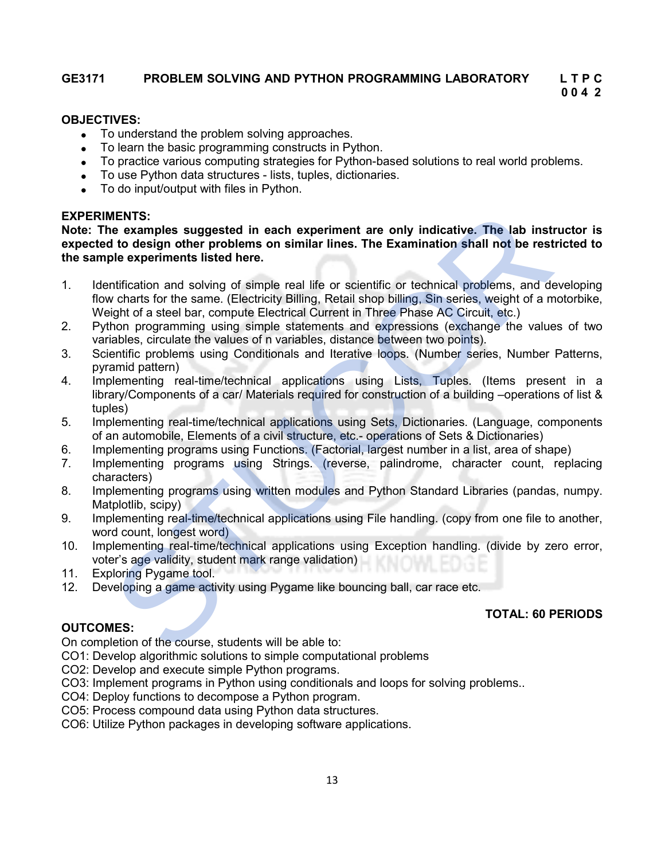# GE3171 PROBLEM SOLVING AND PYTHON PROGRAMMING LABORATORY L T P C

# 0 0 4 2

### OBJECTIVES:

- To understand the problem solving approaches.
- To learn the basic programming constructs in Python.
- To practice various computing strategies for Python-based solutions to real world problems.
- To use Python data structures lists, tuples, dictionaries.
- To do input/output with files in Python.

#### EXPERIMENTS:

Note: The examples suggested in each experiment are only indicative. The lab instructor is expected to design other problems on similar lines. The Examination shall not be restricted to the sample experiments listed here. **MENTS:**<br> **MENTS:**<br> **Note osymptes suggested in each experiment are only indicative, The lab inst<br>
<b>to design other problems on similar lines. The Examination shall not be rest<br>
ple experiments listed here.**<br> **Evaluation**

- 1. Identification and solving of simple real life or scientific or technical problems, and developing flow charts for the same. (Electricity Billing, Retail shop billing, Sin series, weight of a motorbike, Weight of a steel bar, compute Electrical Current in Three Phase AC Circuit, etc.)
- 2. Python programming using simple statements and expressions (exchange the values of two variables, circulate the values of n variables, distance between two points).
- 3. Scientific problems using Conditionals and Iterative loops. (Number series, Number Patterns, pyramid pattern)
- 4. Implementing real-time/technical applications using Lists, Tuples. (Items present in a library/Components of a car/ Materials required for construction of a building –operations of list & tuples)
- 5. Implementing real-time/technical applications using Sets, Dictionaries. (Language, components of an automobile, Elements of a civil structure, etc.- operations of Sets & Dictionaries)
- 6. Implementing programs using Functions. (Factorial, largest number in a list, area of shape)
- 7. Implementing programs using Strings. (reverse, palindrome, character count, replacing characters)
- 8. Implementing programs using written modules and Python Standard Libraries (pandas, numpy. Matplotlib, scipy)
- 9. Implementing real-time/technical applications using File handling. (copy from one file to another, word count, longest word)
- 10. Implementing real-time/technical applications using Exception handling. (divide by zero error, voter's age validity, student mark range validation)
- 11. Exploring Pygame tool.
- 12. Developing a game activity using Pygame like bouncing ball, car race etc.

# OUTCOMES:

TOTAL: 60 PERIODS

On completion of the course, students will be able to:

CO1: Develop algorithmic solutions to simple computational problems

- CO2: Develop and execute simple Python programs.
- CO3: Implement programs in Python using conditionals and loops for solving problems..
- CO4: Deploy functions to decompose a Python program.
- CO5: Process compound data using Python data structures.
- CO6: Utilize Python packages in developing software applications.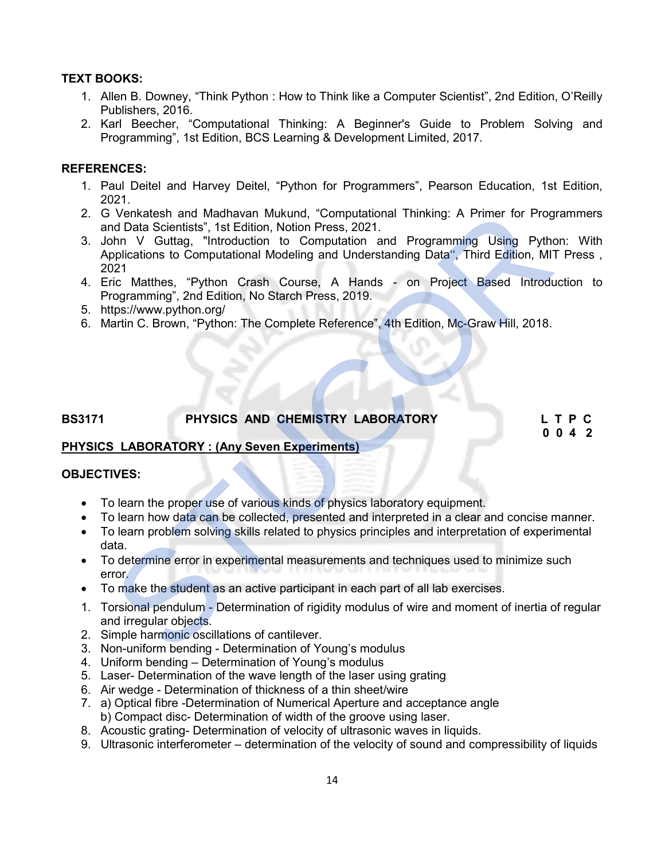# TEXT BOOKS:

- 1. Allen B. Downey, "Think Python : How to Think like a Computer Scientist", 2nd Edition, O'Reilly Publishers, 2016.
- 2. Karl Beecher, "Computational Thinking: A Beginner's Guide to Problem Solving and Programming", 1st Edition, BCS Learning & Development Limited, 2017.

# REFERENCES:

- 1. Paul Deitel and Harvey Deitel, "Python for Programmers", Pearson Education, 1st Edition, 2021.
- 2. G Venkatesh and Madhavan Mukund, "Computational Thinking: A Primer for Programmers and Data Scientists", 1st Edition, Notion Press, 2021.
- 3. John V Guttag, "Introduction to Computation and Programming Using Python: With Applications to Computational Modeling and Understanding Data", Third Edition, MIT Press, 2021 STUCOR
- 4. Eric Matthes, "Python Crash Course, A Hands on Project Based Introduction to Programming", 2nd Edition, No Starch Press, 2019.
- 5. https://www.python.org/
- 6. Martin C. Brown, "Python: The Complete Reference", 4th Edition, Mc-Graw Hill, 2018.

# BS3171 PHYSICS AND CHEMISTRY LABORATORY L T P C

0 0 4 2

# PHYSICS LABORATORY : (Any Seven Experiments)

#### OBJECTIVES:

- To learn the proper use of various kinds of physics laboratory equipment.
- To learn how data can be collected, presented and interpreted in a clear and concise manner.
- To learn problem solving skills related to physics principles and interpretation of experimental data.
- To determine error in experimental measurements and techniques used to minimize such error.
- To make the student as an active participant in each part of all lab exercises.
- 1. Torsional pendulum Determination of rigidity modulus of wire and moment of inertia of regular and irregular objects.
- 2. Simple harmonic oscillations of cantilever.
- 3. Non-uniform bending Determination of Young's modulus
- 4. Uniform bending Determination of Young's modulus
- 5. Laser- Determination of the wave length of the laser using grating
- 6. Air wedge Determination of thickness of a thin sheet/wire
- 7. a) Optical fibre -Determination of Numerical Aperture and acceptance angle b) Compact disc- Determination of width of the groove using laser.
- 8. Acoustic grating- Determination of velocity of ultrasonic waves in liquids.
- 9. Ultrasonic interferometer determination of the velocity of sound and compressibility of liquids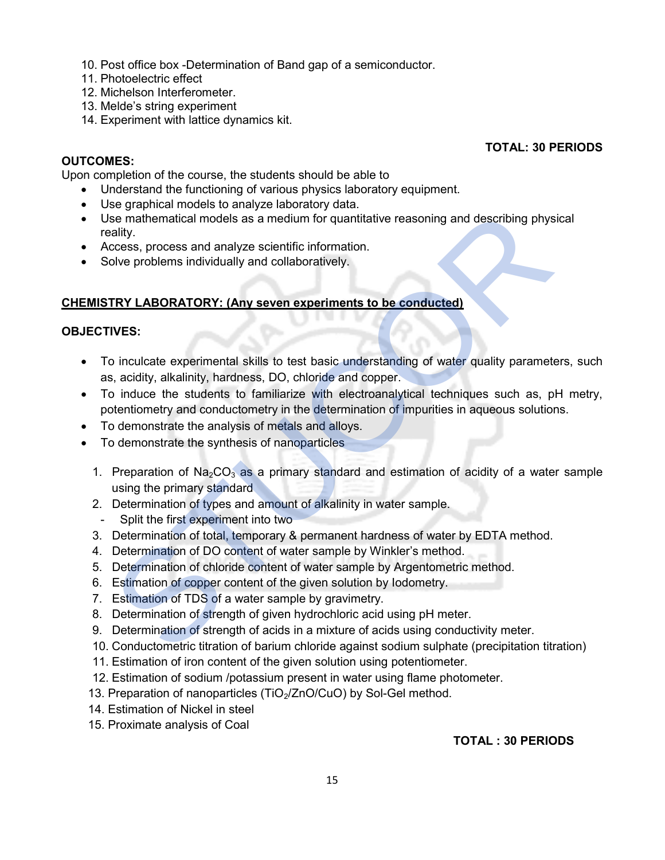- 10. Post office box -Determination of Band gap of a semiconductor.
- 11. Photoelectric effect
- 12. Michelson Interferometer.
- 13. Melde's string experiment
- 14. Experiment with lattice dynamics kit.

# OUTCOMES:

Upon completion of the course, the students should be able to

- Understand the functioning of various physics laboratory equipment.
- Use graphical models to analyze laboratory data.
- Use mathematical models as a medium for quantitative reasoning and describing physical reality.
- Access, process and analyze scientific information.
- Solve problems individually and collaboratively.

### CHEMISTRY LABORATORY: (Any seven experiments to be conducted)

# OBJECTIVES:

- To inculcate experimental skills to test basic understanding of water quality parameters, such as, acidity, alkalinity, hardness, DO, chloride and copper. Consumined and a mediator of the constant of the distantial models as a medium for quantitative reasoning and describing physiality.<br>
TRY LABORATORY: (Any seven experiments to be conducted)<br>
Consess, process and analyze sc
- To induce the students to familiarize with electroanalytical techniques such as, pH metry, potentiometry and conductometry in the determination of impurities in aqueous solutions.
- To demonstrate the analysis of metals and alloys.
- To demonstrate the synthesis of nanoparticles
	- 1. Preparation of  $\text{Na}_2\text{CO}_3$  as a primary standard and estimation of acidity of a water sample using the primary standard
	- 2. Determination of types and amount of alkalinity in water sample.
	- Split the first experiment into two
	- 3. Determination of total, temporary & permanent hardness of water by EDTA method.
	- 4. Determination of DO content of water sample by Winkler's method.
	- 5. Determination of chloride content of water sample by Argentometric method.
	- 6. Estimation of copper content of the given solution by Iodometry.
	- 7. Estimation of TDS of a water sample by gravimetry.
	- 8. Determination of strength of given hydrochloric acid using pH meter.
	- 9. Determination of strength of acids in a mixture of acids using conductivity meter.
	- 10. Conductometric titration of barium chloride against sodium sulphate (precipitation titration)
	- 11. Estimation of iron content of the given solution using potentiometer.
	- 12. Estimation of sodium /potassium present in water using flame photometer.
	- 13. Preparation of nanoparticles (TiO<sub>2</sub>/ZnO/CuO) by Sol-Gel method.
	- 14. Estimation of Nickel in steel
	- 15. Proximate analysis of Coal

# TOTAL : 30 PERIODS

TOTAL: 30 PERIODS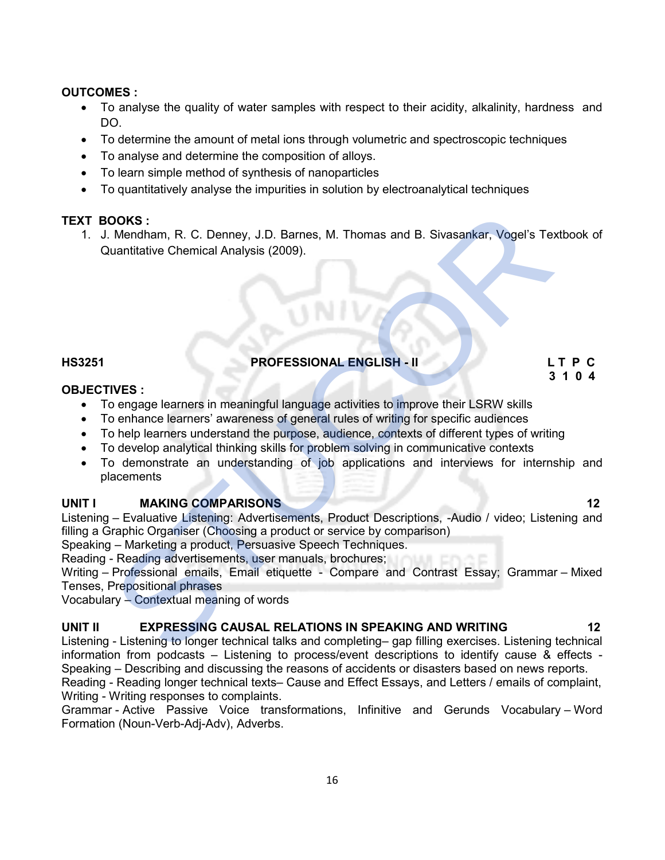# OUTCOMES :

- To analyse the quality of water samples with respect to their acidity, alkalinity, hardness and DO.
- To determine the amount of metal ions through volumetric and spectroscopic techniques
- To analyse and determine the composition of alloys.
- To learn simple method of synthesis of nanoparticles
- To quantitatively analyse the impurities in solution by electroanalytical techniques

# TEXT BOOKS :

1. J. Mendham, R. C. Denney, J.D. Barnes, M. Thomas and B. Sivasankar, Vogel's Textbook of Quantitative Chemical Analysis (2009). **OOKS:**<br>
Mendham, R. C. Denney, J.D. Barnes, M. Thomas and B. Sivasankar, Vogel's Texta<br>
1. Mendham, R. C. Denney, J.D. Barnes, M. Thomas and B. Sivasankar, Vogel's Texta<br>
1. MES<br>
1. THES<br>
1. THES<br>
1. THES<br>
1. THES<br>
2. Com

# HS3251 PROFESSIONAL ENGLISH - II L T P C 3 1 0 4

#### OBJECTIVES :

- To engage learners in meaningful language activities to improve their LSRW skills
- To enhance learners' awareness of general rules of writing for specific audiences
- To help learners understand the purpose, audience, contexts of different types of writing
- To develop analytical thinking skills for problem solving in communicative contexts
- To demonstrate an understanding of job applications and interviews for internship and placements

### UNIT I MAKING COMPARISONS 12

Listening – Evaluative Listening: Advertisements, Product Descriptions, -Audio / video; Listening and filling a Graphic Organiser (Choosing a product or service by comparison)

Speaking – Marketing a product, Persuasive Speech Techniques.

Reading - Reading advertisements, user manuals, brochures;

Writing – Professional emails, Email etiquette - Compare and Contrast Essay; Grammar – Mixed Tenses, Prepositional phrases

Vocabulary – Contextual meaning of words

### UNIT II EXPRESSING CAUSAL RELATIONS IN SPEAKING AND WRITING 12

Listening - Listening to longer technical talks and completing– gap filling exercises. Listening technical information from podcasts – Listening to process/event descriptions to identify cause & effects - Speaking – Describing and discussing the reasons of accidents or disasters based on news reports. Reading - Reading longer technical texts– Cause and Effect Essays, and Letters / emails of complaint,

Writing - Writing responses to complaints.

Grammar - Active Passive Voice transformations, Infinitive and Gerunds Vocabulary – Word Formation (Noun-Verb-Adj-Adv), Adverbs.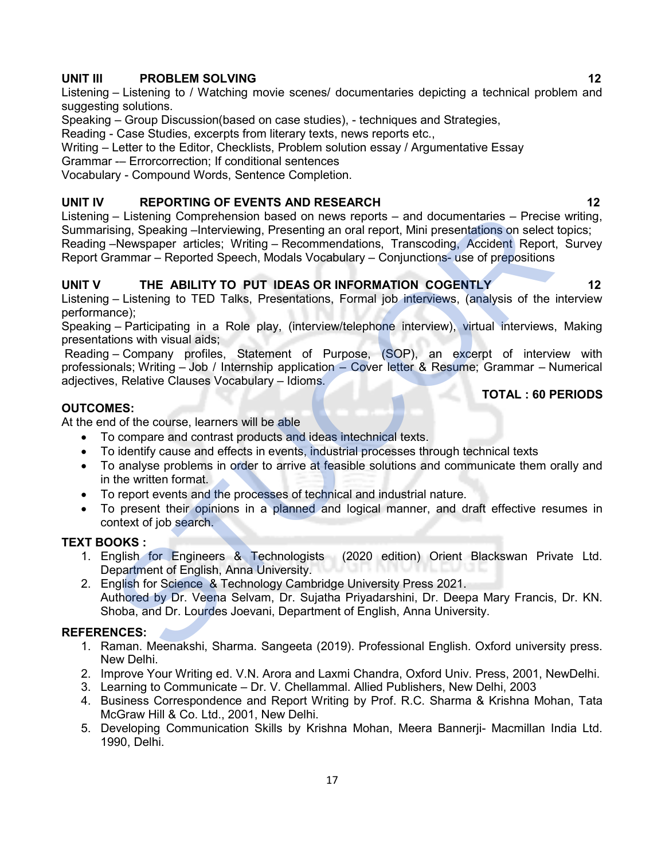# UNIT III PROBLEM SOLVING 12

Listening – Listening to / Watching movie scenes/ documentaries depicting a technical problem and suggesting solutions.

Speaking – Group Discussion(based on case studies), - techniques and Strategies,

Reading - Case Studies, excerpts from literary texts, news reports etc.,

Writing – Letter to the Editor, Checklists, Problem solution essay / Argumentative Essay

Grammar -– Errorcorrection; If conditional sentences

Vocabulary - Compound Words, Sentence Completion.

# UNIT IV REPORTING OF EVENTS AND RESEARCH 12 NOTIFIED A 12

Listening – Listening Comprehension based on news reports – and documentaries – Precise writing, Summarising, Speaking –Interviewing, Presenting an oral report, Mini presentations on select topics; Reading –Newspaper articles; Writing – Recommendations, Transcoding, Accident Report, Survey Report Grammar – Reported Speech, Modals Vocabulary – Conjunctions- use of prepositions I – Listening Comprehension based on news reports – and documentaries – Precissing, Speaking – Interviewing, Recentmentaries – Precissing Speaking – Interviewing, Recentmentations on select – Mewspaper articles: Writing –

# UNIT V THE ABILITY TO PUT IDEAS OR INFORMATION COGENTLY 12

Listening – Listening to TED Talks, Presentations, Formal job interviews, (analysis of the interview performance);

Speaking – Participating in a Role play, (interview/telephone interview), virtual interviews, Making presentations with visual aids;

 Reading – Company profiles, Statement of Purpose, (SOP), an excerpt of interview with professionals; Writing – Job / Internship application – Cover letter & Resume; Grammar – Numerical adjectives, Relative Clauses Vocabulary – Idioms.

### OUTCOMES:

At the end of the course, learners will be able

- To compare and contrast products and ideas intechnical texts.
- To identify cause and effects in events, industrial processes through technical texts
- To analyse problems in order to arrive at feasible solutions and communicate them orally and in the written format.
- To report events and the processes of technical and industrial nature.
- To present their opinions in a planned and logical manner, and draft effective resumes in context of job search.

# TEXT BOOKS :

- 1. English for Engineers & Technologists (2020 edition) Orient Blackswan Private Ltd. Department of English, Anna University.
- 2. English for Science & Technology Cambridge University Press 2021. Authored by Dr. Veena Selvam, Dr. Sujatha Priyadarshini, Dr. Deepa Mary Francis, Dr. KN. Shoba, and Dr. Lourdes Joevani, Department of English, Anna University.

#### REFERENCES:

- 1. Raman. Meenakshi, Sharma. Sangeeta (2019). Professional English. Oxford university press. New Delhi.
- 2. Improve Your Writing ed. V.N. Arora and Laxmi Chandra, Oxford Univ. Press, 2001, NewDelhi.
- 3. Learning to Communicate Dr. V. Chellammal. Allied Publishers, New Delhi, 2003
- 4. Business Correspondence and Report Writing by Prof. R.C. Sharma & Krishna Mohan, Tata McGraw Hill & Co. Ltd., 2001, New Delhi.
- 5. Developing Communication Skills by Krishna Mohan, Meera Bannerji- Macmillan India Ltd. 1990, Delhi.

TOTAL : 60 PERIODS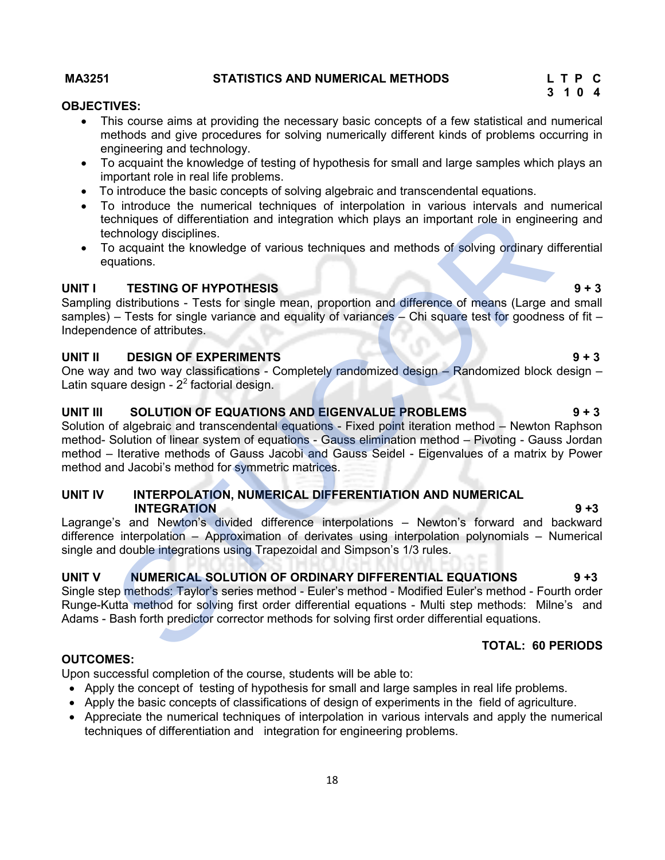#### MA3251 STATISTICS AND NUMERICAL METHODS L T P C

#### OBJECTIVES:

- This course aims at providing the necessary basic concepts of a few statistical and numerical methods and give procedures for solving numerically different kinds of problems occurring in engineering and technology.
- To acquaint the knowledge of testing of hypothesis for small and large samples which plays an important role in real life problems.
- To introduce the basic concepts of solving algebraic and transcendental equations.
- To introduce the numerical techniques of interpolation in various intervals and numerical techniques of differentiation and integration which plays an important role in engineering and technology disciplines.
- To acquaint the knowledge of various techniques and methods of solving ordinary differential equations.

# UNIT I TESTING OF HYPOTHESIS 9 + 3

Sampling distributions - Tests for single mean, proportion and difference of means (Large and small samples) – Tests for single variance and equality of variances – Chi square test for goodness of fit – Independence of attributes.

#### UNIT II DESIGN OF EXPERIMENTS 9 + 3

One way and two way classifications - Completely randomized design – Randomized block design – Latin square design -  $2^2$  factorial design.

# UNIT III SOLUTION OF EQUATIONS AND EIGENVALUE PROBLEMS 9 + 3

Solution of algebraic and transcendental equations - Fixed point iteration method – Newton Raphson method- Solution of linear system of equations - Gauss elimination method – Pivoting - Gauss Jordan method – Iterative methods of Gauss Jacobi and Gauss Seidel - Eigenvalues of a matrix by Power method and Jacobi's method for symmetric matrices. of mindials are interlevent and integration which plays an important red in enginee<br>
changing of differentiation and integration which plays an important rede in enginee<br>
changing disciplines.<br>
TESTING OF HYPOTHESIS<br>
or ac

### UNIT IV INTERPOLATION, NUMERICAL DIFFERENTIATION AND NUMERICAL INTEGRATION 9 +3

Lagrange's and Newton's divided difference interpolations – Newton's forward and backward difference interpolation – Approximation of derivates using interpolation polynomials – Numerical single and double integrations using Trapezoidal and Simpson's 1/3 rules.

# UNIT V NUMERICAL SOLUTION OF ORDINARY DIFFERENTIAL EQUATIONS 9 +3

Single step methods: Taylor's series method - Euler's method - Modified Euler's method - Fourth order Runge-Kutta method for solving first order differential equations - Multi step methods: Milne's and Adams - Bash forth predictor corrector methods for solving first order differential equations.

#### TOTAL: 60 PERIODS

#### OUTCOMES:

Upon successful completion of the course, students will be able to:

- Apply the concept of testing of hypothesis for small and large samples in real life problems.
- Apply the basic concepts of classifications of design of experiments in the field of agriculture.
- Appreciate the numerical techniques of interpolation in various intervals and apply the numerical techniques of differentiation and integration for engineering problems.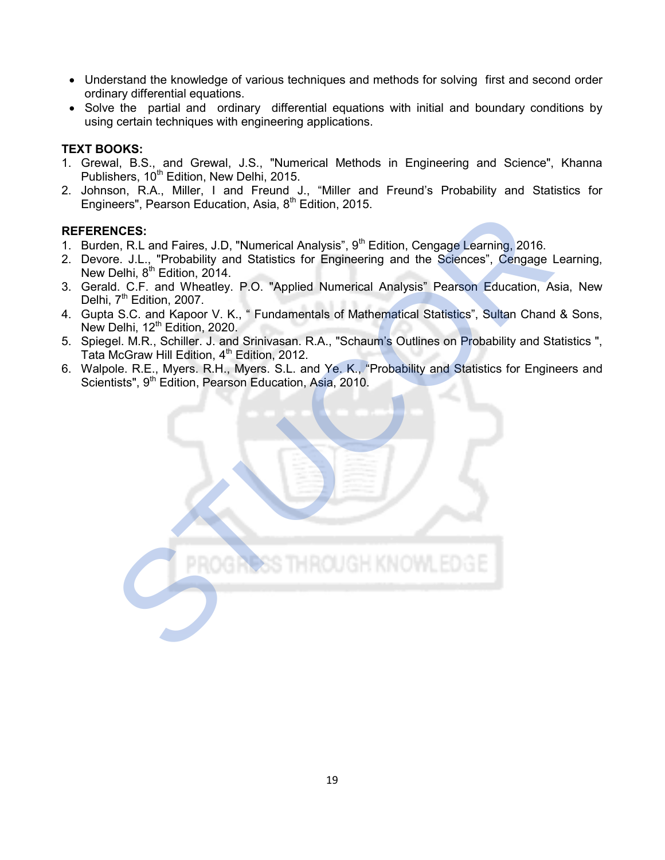- Understand the knowledge of various techniques and methods for solving first and second order ordinary differential equations.
- Solve the partial and ordinary differential equations with initial and boundary conditions by using certain techniques with engineering applications.

# TEXT BOOKS:

- 1. Grewal, B.S., and Grewal, J.S., "Numerical Methods in Engineering and Science", Khanna Publishers, 10<sup>th</sup> Edition, New Delhi, 2015.
- 2. Johnson, R.A., Miller, I and Freund J., "Miller and Freund's Probability and Statistics for Engineers", Pearson Education, Asia, 8<sup>th</sup> Edition, 2015.

# REFERENCES:

- 1. Burden, R.L and Faires, J.D. "Numerical Analysis", 9<sup>th</sup> Edition, Cengage Learning, 2016.
- 2. Devore. J.L., "Probability and Statistics for Engineering and the Sciences", Cengage Learning, New Delhi, 8<sup>th</sup> Edition, 2014.
- 3. Gerald. C.F. and Wheatley. P.O. "Applied Numerical Analysis" Pearson Education, Asia, New Delhi, 7<sup>th</sup> Edition, 2007.
- 4. Gupta S.C. and Kapoor V. K., " Fundamentals of Mathematical Statistics", Sultan Chand & Sons, New Delhi, 12<sup>th</sup> Edition, 2020.
- 5. Spiegel. M.R., Schiller. J. and Srinivasan. R.A., "Schaum's Outlines on Probability and Statistics ", Tata McGraw Hill Edition, 4<sup>th</sup> Edition, 2012.
- 6. Walpole. R.E., Myers. R.H., Myers. S.L. and Ye. K., "Probability and Statistics for Engineers and Scientists", 9<sup>th</sup> Edition, Pearson Education, Asia, 2010.

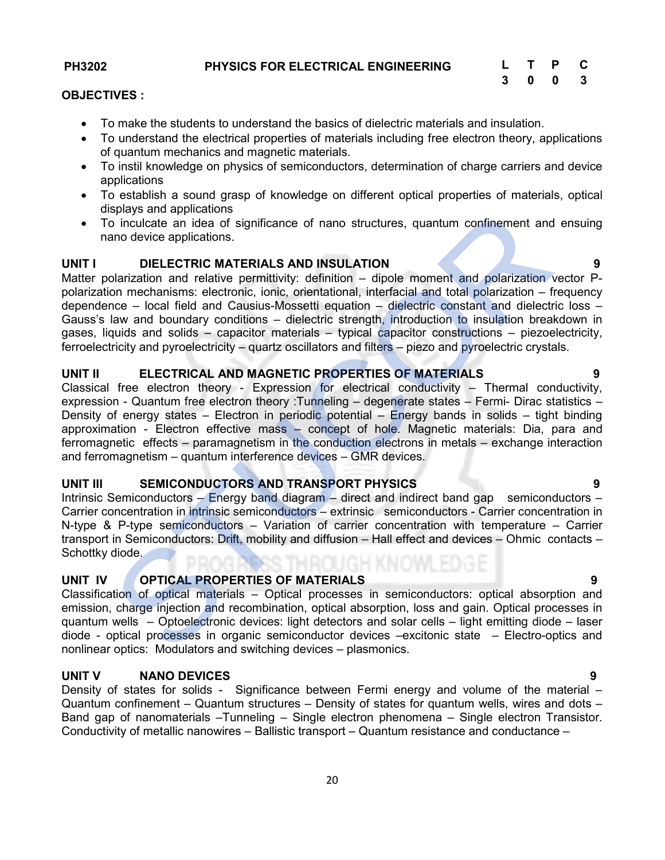### OBJECTIVES :

- To make the students to understand the basics of dielectric materials and insulation.
- To understand the electrical properties of materials including free electron theory, applications of quantum mechanics and magnetic materials.
- To instil knowledge on physics of semiconductors, determination of charge carriers and device applications
- To establish a sound grasp of knowledge on different optical properties of materials, optical displays and applications
- To inculcate an idea of significance of nano structures, quantum confinement and ensuing nano device applications.

# UNIT I DIELECTRIC MATERIALS AND INSULATION 9

Matter polarization and relative permittivity: definition – dipole moment and polarization vector Ppolarization mechanisms: electronic, ionic, orientational, interfacial and total polarization – frequency dependence – local field and Causius-Mossetti equation – dielectric constant and dielectric loss – Gauss's law and boundary conditions – dielectric strength, introduction to insulation breakdown in gases, liquids and solids – capacitor materials – typical capacitor constructions – piezoelectricity, ferroelectricity and pyroelectricity – quartz oscillators and filters – piezo and pyroelectric crystals.

# UNIT II ELECTRICAL AND MAGNETIC PROPERTIES OF MATERIALS 9

Classical free electron theory - Expression for electrical conductivity – Thermal conductivity, expression - Quantum free electron theory :Tunneling – degenerate states – Fermi- Dirac statistics – Density of energy states – Electron in periodic potential – Energy bands in solids – tight binding approximation - Electron effective mass – concept of hole. Magnetic materials: Dia, para and ferromagnetic effects – paramagnetism in the conduction electrons in metals – exchange interaction and ferromagnetism – quantum interference devices – GMR devices. isplys and applications<br>
o inculcate an idea of significance of nano structures, quantum confinement and<br>
and device applications.<br>
DIELECTRIC MATERIALS AND INSULATION<br>
olarization and elative permittivity: definition – di

# UNIT III SEMICONDUCTORS AND TRANSPORT PHYSICS 9

Intrinsic Semiconductors – Energy band diagram – direct and indirect band gap semiconductors – Carrier concentration in intrinsic semiconductors – extrinsic semiconductors - Carrier concentration in N-type & P-type semiconductors – Variation of carrier concentration with temperature – Carrier transport in Semiconductors: Drift, mobility and diffusion – Hall effect and devices – Ohmic contacts – Schottky diode.

# UNIT IV OPTICAL PROPERTIES OF MATERIALS 9

Classification of optical materials – Optical processes in semiconductors: optical absorption and emission, charge injection and recombination, optical absorption, loss and gain. Optical processes in quantum wells – Optoelectronic devices: light detectors and solar cells – light emitting diode – laser diode - optical processes in organic semiconductor devices –excitonic state – Electro-optics and nonlinear optics: Modulators and switching devices – plasmonics.

# UNIT V NANO DEVICES 9

Density of states for solids - Significance between Fermi energy and volume of the material – Quantum confinement – Quantum structures – Density of states for quantum wells, wires and dots – Band gap of nanomaterials –Tunneling – Single electron phenomena – Single electron Transistor. Conductivity of metallic nanowires – Ballistic transport – Quantum resistance and conductance –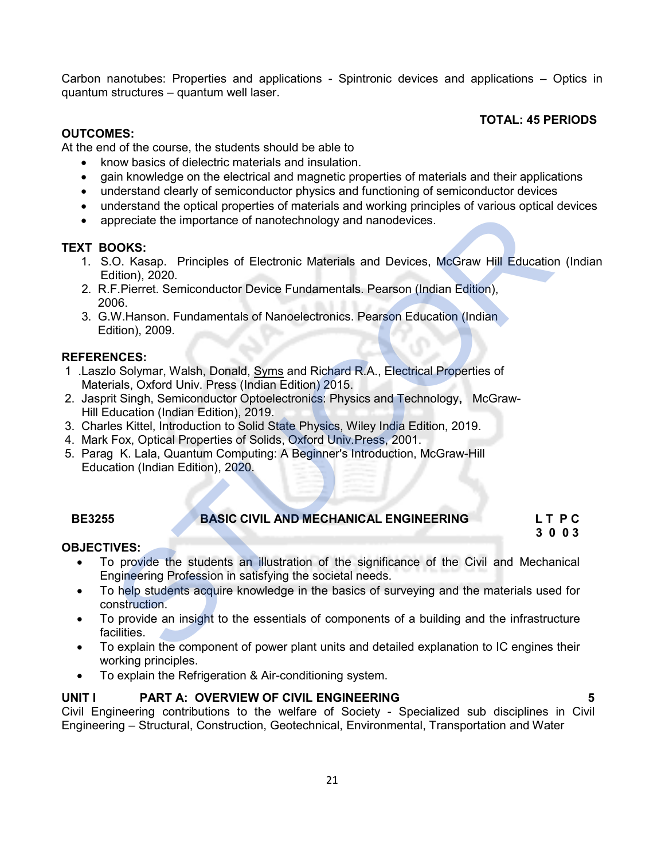Carbon nanotubes: Properties and applications - Spintronic devices and applications – Optics in quantum structures – quantum well laser.

### TOTAL: 45 PERIODS

### OUTCOMES:

At the end of the course, the students should be able to

- know basics of dielectric materials and insulation.
- gain knowledge on the electrical and magnetic properties of materials and their applications
- understand clearly of semiconductor physics and functioning of semiconductor devices
- understand the optical properties of materials and working principles of various optical devices
- appreciate the importance of nanotechnology and nanodevices.

### TEXT BOOKS:

- 1. S.O. Kasap. Principles of Electronic Materials and Devices, McGraw Hill Education (Indian Edition), 2020.
- 2. R.F.Pierret. Semiconductor Device Fundamentals. Pearson (Indian Edition), 2006.
- 3. G.W.Hanson. Fundamentals of Nanoelectronics. Pearson Education (Indian Edition), 2009.

#### REFERENCES:

- 1 .Laszlo Solymar, Walsh, Donald, Syms and Richard R.A., Electrical Properties of Materials, Oxford Univ. Press (Indian Edition) 2015.
- 2. Jasprit Singh, Semiconductor Optoelectronics: Physics and Technology, McGraw- Hill Education (Indian Edition), 2019.
- 3. Charles Kittel, Introduction to Solid State Physics, Wiley India Edition, 2019.
- 4. Mark Fox, Optical Properties of Solids, Oxford Univ.Press, 2001.
- 5. Parag K. Lala, Quantum Computing: A Beginner's Introduction, McGraw-Hill Education (Indian Edition), 2020.

# BE3255 BASIC CIVIL AND MECHANICAL ENGINEERING L T P C

#### 3 0 0 3 OBJECTIVES:

- To provide the students an illustration of the significance of the Civil and Mechanical Engineering Profession in satisfying the societal needs.
- To help students acquire knowledge in the basics of surveying and the materials used for construction. nueus and we by the impact phenometric of materials and working principles of various opiodal<br>titletion), 2020.<br>
STUCORS:<br>
CONS:<br>
CONS:<br>
CONS:<br>
CONS:<br>
CORS:<br>
CORS:<br>
CORS:<br>
CORS:<br>
CORS:<br>
CORS:<br>
CORS:<br>
CORS:<br>
CORS:<br>
CORS:<br>
C
- To provide an insight to the essentials of components of a building and the infrastructure facilities.
- To explain the component of power plant units and detailed explanation to IC engines their working principles.
- To explain the Refrigeration & Air-conditioning system.

# UNIT I PART A: OVERVIEW OF CIVIL ENGINEERING 5

Civil Engineering contributions to the welfare of Society - Specialized sub disciplines in Civil Engineering – Structural, Construction, Geotechnical, Environmental, Transportation and Water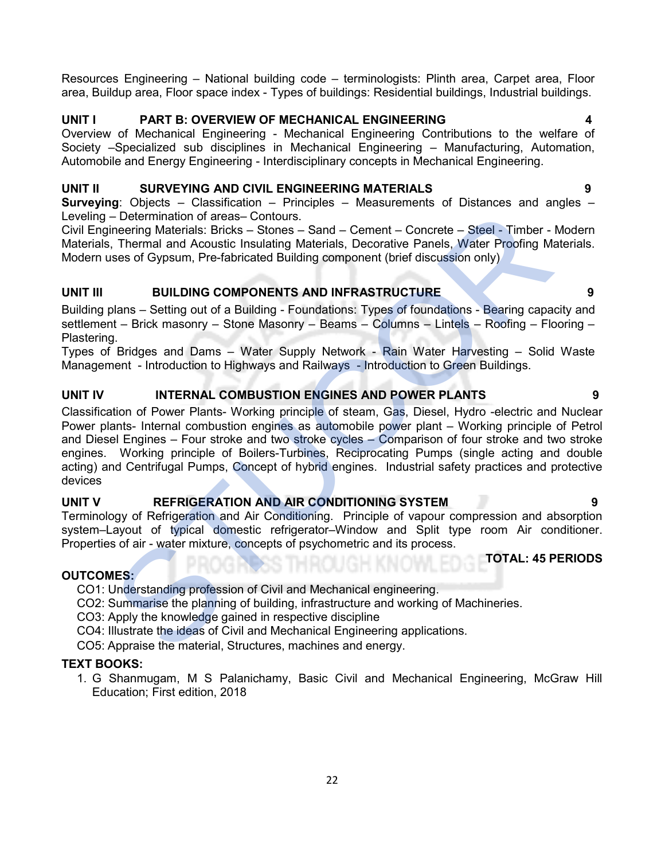Resources Engineering – National building code – terminologists: Plinth area, Carpet area, Floor area, Buildup area, Floor space index - Types of buildings: Residential buildings, Industrial buildings.

# UNIT I PART B: OVERVIEW OF MECHANICAL ENGINEERING 4

Overview of Mechanical Engineering - Mechanical Engineering Contributions to the welfare of Society –Specialized sub disciplines in Mechanical Engineering – Manufacturing, Automation, Automobile and Energy Engineering - Interdisciplinary concepts in Mechanical Engineering.

# UNIT II SURVEYING AND CIVIL ENGINEERING MATERIALS 9

**Surveying:** Objects – Classification – Principles – Measurements of Distances and angles – Leveling – Determination of areas– Contours.

Civil Engineering Materials: Bricks – Stones – Sand – Cement – Concrete – Steel - Timber - Modern Materials, Thermal and Acoustic Insulating Materials, Decorative Panels, Water Proofing Materials. Modern uses of Gypsum, Pre-fabricated Building component (brief discussion only)

# UNIT III BUILDING COMPONENTS AND INFRASTRUCTURE AND SALL THE RESERVE THAT AND INFRASTRUCTURE

Building plans – Setting out of a Building - Foundations: Types of foundations - Bearing capacity and settlement – Brick masonry – Stone Masonry – Beams – Columns – Lintels – Roofing – Flooring – Plastering.

Types of Bridges and Dams – Water Supply Network - Rain Water Harvesting – Solid Waste Management - Introduction to Highways and Railways - Introduction to Green Buildings.

# UNIT IV INTERNAL COMBUSTION ENGINES AND POWER PLANTS 9

Classification of Power Plants- Working principle of steam, Gas, Diesel, Hydro -electric and Nuclear Power plants- Internal combustion engines as automobile power plant – Working principle of Petrol and Diesel Engines – Four stroke and two stroke cycles – Comparison of four stroke and two stroke engines. Working principle of Boilers-Turbines, Reciprocating Pumps (single acting and double acting) and Centrifugal Pumps, Concept of hybrid engines. Industrial safety practices and protective devices -<br>
Determination of areas-Contours.<br>
Thermination of areas-Contours.<br>
Thermination of areas-Contours.<br>
Thermal and Acoustic Insulating Materials. Decorative Panels, Water Proofing Materials: Bricks - Stones - Samily deteri

# UNIT V REFRIGERATION AND AIR CONDITIONING SYSTEM

Terminology of Refrigeration and Air Conditioning. Principle of vapour compression and absorption system–Layout of typical domestic refrigerator–Window and Split type room Air conditioner. Properties of air - water mixture, concepts of psychometric and its process.

# OUTCOMES:

CO1: Understanding profession of Civil and Mechanical engineering.

CO2: Summarise the planning of building, infrastructure and working of Machineries.

CO3: Apply the knowledge gained in respective discipline

CO4: Illustrate the ideas of Civil and Mechanical Engineering applications.

CO5: Appraise the material, Structures, machines and energy.

# TEXT BOOKS:

1. G Shanmugam, M S Palanichamy, Basic Civil and Mechanical Engineering, McGraw Hill Education; First edition, 2018

TOTAL: 45 PERIODS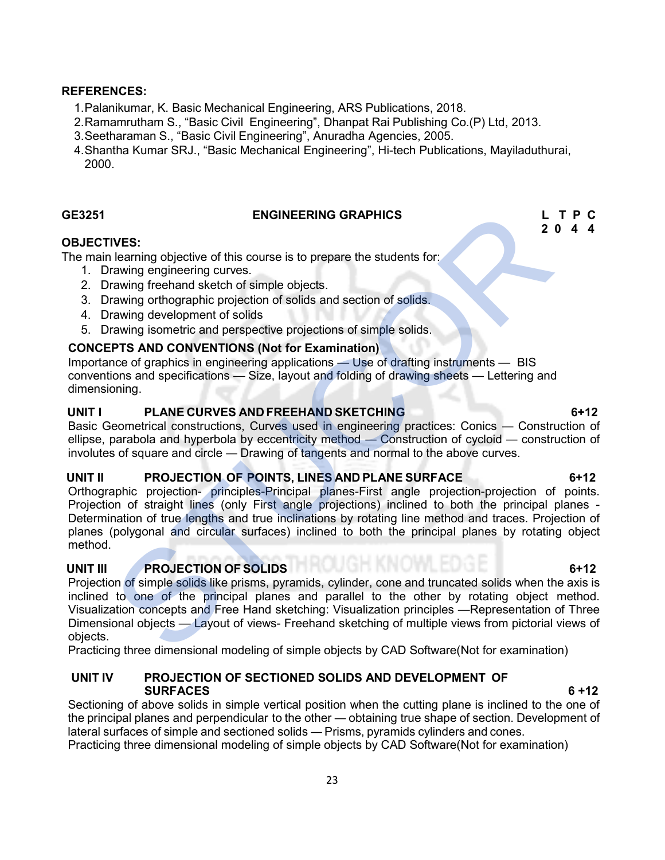#### REFERENCES:

- 1. Palanikumar, K. Basic Mechanical Engineering, ARS Publications, 2018.
- 2. Ramamrutham S., "Basic Civil Engineering", Dhanpat Rai Publishing Co.(P) Ltd, 2013.
- 3. Seetharaman S., "Basic Civil Engineering", Anuradha Agencies, 2005.
- 4. Shantha Kumar SRJ., "Basic Mechanical Engineering", Hi-tech Publications, Mayiladuthurai, 2000.

### GE3251 ENGINEERING GRAPHICS L T P C

# 2 0 4 4

### OBJECTIVES:

The main learning objective of this course is to prepare the students for:

- 1. Drawing engineering curves.
- 2. Drawing freehand sketch of simple objects.
- 3. Drawing orthographic projection of solids and section of solids.
- 4. Drawing development of solids
- 5. Drawing isometric and perspective projections of simple solids.

### CONCEPTS AND CONVENTIONS (Not for Examination)

Importance of graphics in engineering applications — Use of drafting instruments — BIS conventions and specifications — Size, layout and folding of drawing sheets — Lettering and dimensioning.

# UNIT I PLANE CURVES AND FREEHAND SKETCHING FREEMALL RESERVES AND RESERVE ASSESSED.

Basic Geometrical constructions, Curves used in engineering practices: Conics — Construction of ellipse, parabola and hyperbola by eccentricity method — Construction of cycloid — construction of involutes of square and circle — Drawing of tangents and normal to the above curves.

### UNIT II PROJECTION OF POINTS, LINES AND PLANE SURFACE 6+12

Orthographic projection- principles-Principal planes-First angle projection-projection of points. Projection of straight lines (only First angle projections) inclined to both the principal planes - Determination of true lengths and true inclinations by rotating line method and traces. Projection of planes (polygonal and circular surfaces) inclined to both the principal planes by rotating object method.

# UNIT III PROJECTION OF SOLIDS **A PICTURE 1999 THE CONTROL** 6+12

Projection of simple solids like prisms, pyramids, cylinder, cone and truncated solids when the axis is inclined to one of the principal planes and parallel to the other by rotating object method. Visualization concepts and Free Hand sketching: Visualization principles —Representation of Three Dimensional objects — Layout of views- Freehand sketching of multiple views from pictorial views of objects. ENGINEERING GRAPHICS<br>
Lateraing objective of this course is to prepare the students for:<br>
The larming engineering curves.<br>
Trawing engineering curves.<br>
Trawing engineering curves.<br>
Trawing development of solids and section

Practicing three dimensional modeling of simple objects by CAD Software(Not for examination)

### UNIT IV PROJECTION OF SECTIONED SOLIDS AND DEVELOPMENT OF SURFACES 6 +12

Sectioning of above solids in simple vertical position when the cutting plane is inclined to the one of the principal planes and perpendicular to the other — obtaining true shape of section. Development of lateral surfaces of simple and sectioned solids — Prisms, pyramids cylinders and cones.

Practicing three dimensional modeling of simple objects by CAD Software(Not for examination)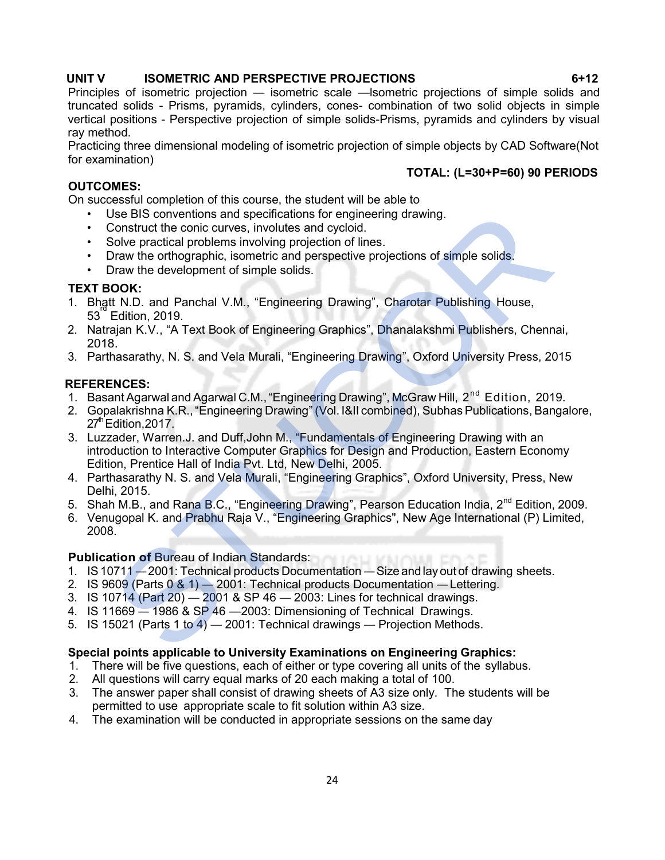### UNIT V ISOMETRIC AND PERSPECTIVE PROJECTIONS 6+12

Principles of isometric projection — isometric scale —lsometric projections of simple solids and truncated solids - Prisms, pyramids, cylinders, cones- combination of two solid objects in simple vertical positions - Perspective projection of simple solids-Prisms, pyramids and cylinders by visual ray method.

Practicing three dimensional modeling of isometric projection of simple objects by CAD Software(Not for examination)

### TOTAL: (L=30+P=60) 90 PERIODS

### OUTCOMES:

On successful completion of this course, the student will be able to

- Use BIS conventions and specifications for engineering drawing.
- Construct the conic curves, involutes and cycloid.
- Solve practical problems involving projection of lines.
- Draw the orthographic, isometric and perspective projections of simple solids.
- Draw the development of simple solids.

### TEXT BOOK:

- 1. Bhatt N.D. and Panchal V.M., "Engineering Drawing", Charotar Publishing House, 53 rd Edition, 2019.
- 2. Natrajan K.V., "A Text Book of Engineering Graphics", Dhanalakshmi Publishers, Chennai, 2018.
- 3. Parthasarathy, N. S. and Vela Murali, "Engineering Drawing", Oxford University Press, 2015

### REFERENCES:

- 1. Basant Agarwal and Agarwal C.M., "Engineering Drawing", McGraw Hill, 2<sup>nd</sup> Edition, 2019.
- 2. Gopalakrishna K.R., "Engineering Drawing" (Vol. I&II combined), Subhas Publications, Bangalore,  $27<sup>th</sup>$  Edition, 2017.
- 3. Luzzader, Warren.J. and Duff,John M., "Fundamentals of Engineering Drawing with an introduction to Interactive Computer Graphics for Design and Production, Eastern Economy Edition, Prentice Hall of India Pvt. Ltd, New Delhi, 2005. Use BIS conventions and specifications for engineering drawing.<br>Construct the conic curves, involving projection of lines.<br>Solve practical problems involving projection of lines.<br>Draw the othographic, isometric and prespec
- 4. Parthasarathy N. S. and Vela Murali, "Engineering Graphics", Oxford University, Press, New Delhi, 2015.
- 5. Shah M.B., and Rana B.C., "Engineering Drawing", Pearson Education India, 2<sup>nd</sup> Edition, 2009.
- 6. Venugopal K. and Prabhu Raja V., "Engineering Graphics", New Age International (P) Limited, 2008.

# Publication of Bureau of Indian Standards: **The Line of Australia**

- 1. IS 10711 2001: Technical products Documentation Size and lay out of drawing sheets.
- 2. IS 9609 (Parts 0 & 1) 2001: Technical products Documentation Lettering.
- 3. IS 10714 (Part 20) 2001 & SP 46 2003: Lines for technical drawings.
- 4. IS 11669 1986 & SP 46 —2003: Dimensioning of Technical Drawings.
- 5. IS 15021 (Parts 1 to 4) 2001: Technical drawings Projection Methods.

#### Special points applicable to University Examinations on Engineering Graphics:

- 1. There will be five questions, each of either or type covering all units of the syllabus.
- 2. All questions will carry equal marks of 20 each making a total of 100.
- 3. The answer paper shall consist of drawing sheets of A3 size only. The students will be permitted to use appropriate scale to fit solution within A3 size.
- 4. The examination will be conducted in appropriate sessions on the same day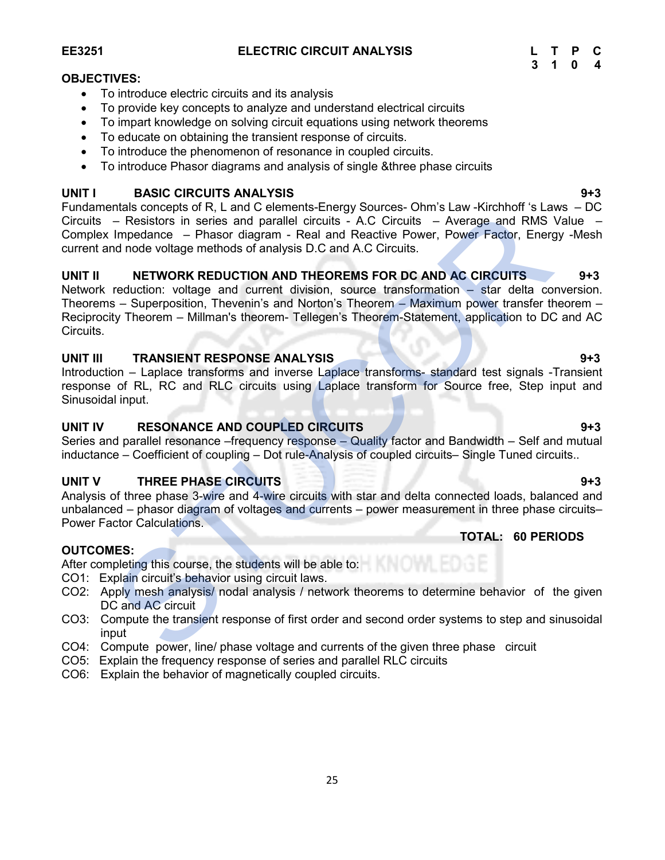To introduce the phenomenon of resonance in coupled circuits.

 To provide key concepts to analyze and understand electrical circuits To impart knowledge on solving circuit equations using network theorems

To introduce Phasor diagrams and analysis of single &three phase circuits

# UNIT I BASIC CIRCUITS ANALYSIS **Example 2018** 1943

To introduce electric circuits and its analysis

Fundamentals concepts of R, L and C elements-Energy Sources- Ohm's Law -Kirchhoff 's Laws – DC Circuits – Resistors in series and parallel circuits - A.C Circuits – Average and RMS Value – Complex Impedance – Phasor diagram - Real and Reactive Power, Power Factor, Energy -Mesh current and node voltage methods of analysis D.C and A.C Circuits.

# UNIT II NETWORK REDUCTION AND THEOREMS FOR DC AND AC CIRCUITS 9+3

Network reduction: voltage and current division, source transformation – star delta conversion. Theorems – Superposition, Thevenin's and Norton's Theorem – Maximum power transfer theorem – Reciprocity Theorem – Millman's theorem- Tellegen's Theorem-Statement, application to DC and AC Circuits. entation of the comparison of the students. The Comparison of the phase with the phase and parallel circuits - AC Circuits - Average and RMS is impedance - Phasor diagram - Real and Reactive Power, Power Factor, Energy and

# UNIT III TRANSIENT RESPONSE ANALYSIS 844 PH 2012 11 12 13 14 PH 3

Introduction – Laplace transforms and inverse Laplace transforms- standard test signals -Transient response of RL, RC and RLC circuits using Laplace transform for Source free, Step input and Sinusoidal input.

# UNIT IV RESONANCE AND COUPLED CIRCUITS FOR A SERVICE AND SHAPE AND SHAPE AND SHAPE AND SHAPE AND SHAPE AND SHA

Series and parallel resonance –frequency response – Quality factor and Bandwidth – Self and mutual inductance – Coefficient of coupling – Dot rule-Analysis of coupled circuits– Single Tuned circuits..

# UNIT V THREE PHASE CIRCUITS **1943** THE STATE OF STATE 1943

Analysis of three phase 3-wire and 4-wire circuits with star and delta connected loads, balanced and unbalanced – phasor diagram of voltages and currents – power measurement in three phase circuits– Power Factor Calculations.

# OUTCOMES:

After completing this course, the students will be able to:

- CO1: Explain circuit's behavior using circuit laws.
- CO2: Apply mesh analysis/ nodal analysis / network theorems to determine behavior of the given DC and AC circuit
- CO3: Compute the transient response of first order and second order systems to step and sinusoidal input
- CO4: Compute power, line/ phase voltage and currents of the given three phase circuit
- CO5: Explain the frequency response of series and parallel RLC circuits
- CO6: Explain the behavior of magnetically coupled circuits.

OBJECTIVES:

# TOTAL: 60 PERIODS

25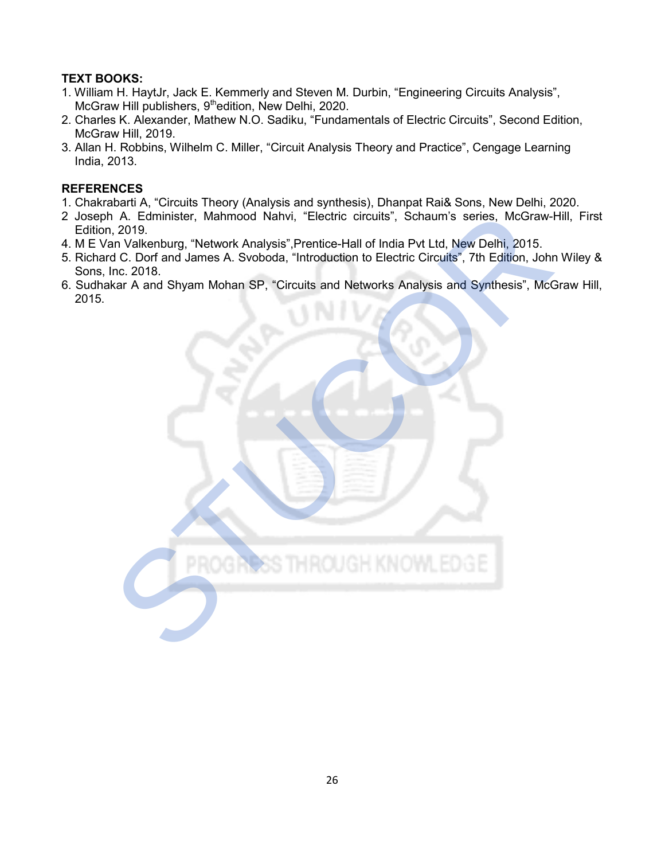# TEXT BOOKS:

- 1. William H. HaytJr, Jack E. Kemmerly and Steven M. Durbin, "Engineering Circuits Analysis", McGraw Hill publishers,  $9<sup>th</sup>$ edition, New Delhi, 2020.
- 2. Charles K. Alexander, Mathew N.O. Sadiku, "Fundamentals of Electric Circuits", Second Edition, McGraw Hill, 2019.
- 3. Allan H. Robbins, Wilhelm C. Miller, "Circuit Analysis Theory and Practice", Cengage Learning India, 2013.

# **REFERENCES**

- 1. Chakrabarti A, "Circuits Theory (Analysis and synthesis), Dhanpat Rai& Sons, New Delhi, 2020.
- 2 Joseph A. Edminister, Mahmood Nahvi, "Electric circuits", Schaum's series, McGraw-Hill, First Edition, 2019.
- 4. M E Van Valkenburg, "Network Analysis",Prentice-Hall of India Pvt Ltd, New Delhi, 2015.
- 5. Richard C. Dorf and James A. Svoboda, "Introduction to Electric Circuits", 7th Edition, John Wiley & Sons, Inc. 2018.
- 6. Sudhakar A and Shyam Mohan SP, "Circuits and Networks Analysis and Synthesis", McGraw Hill,

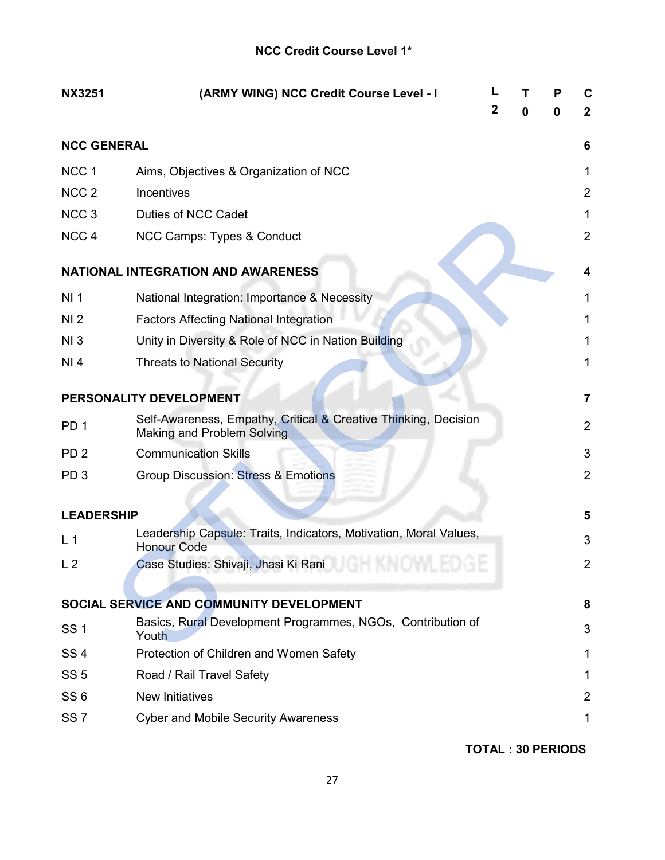# NCC Credit Course Level 1\*

| <b>NX3251</b>      | (ARMY WING) NCC Credit Course Level - I                                                       | 2 | 0 | P<br>0 | C<br>$\mathbf{2}$ |
|--------------------|-----------------------------------------------------------------------------------------------|---|---|--------|-------------------|
| <b>NCC GENERAL</b> |                                                                                               |   |   |        | 6                 |
| NCC <sub>1</sub>   | Aims, Objectives & Organization of NCC                                                        |   |   |        | 1                 |
| NCC <sub>2</sub>   | Incentives                                                                                    |   |   |        | $\overline{2}$    |
| NCC <sub>3</sub>   | Duties of NCC Cadet                                                                           |   |   |        | 1                 |
| NCC <sub>4</sub>   | NCC Camps: Types & Conduct                                                                    |   |   |        | $\overline{2}$    |
|                    | <b>NATIONAL INTEGRATION AND AWARENESS</b>                                                     |   |   |        | 4                 |
| NI <sub>1</sub>    | National Integration: Importance & Necessity                                                  |   |   |        | 1                 |
| NI <sub>2</sub>    | <b>Factors Affecting National Integration</b>                                                 |   |   |        | 1                 |
| NI3                | Unity in Diversity & Role of NCC in Nation Building                                           |   |   |        | 1                 |
| NI 4               | <b>Threats to National Security</b>                                                           |   |   |        | 1                 |
|                    | PERSONALITY DEVELOPMENT                                                                       |   |   |        | 7                 |
| PD <sub>1</sub>    | Self-Awareness, Empathy, Critical & Creative Thinking, Decision<br>Making and Problem Solving |   |   |        | $\overline{2}$    |
| PD <sub>2</sub>    | <b>Communication Skills</b>                                                                   |   |   |        | 3                 |
| PD <sub>3</sub>    | <b>Group Discussion: Stress &amp; Emotions</b>                                                |   |   |        | $\overline{2}$    |
| <b>LEADERSHIP</b>  |                                                                                               |   |   |        | 5                 |
| L <sub>1</sub>     | Leadership Capsule: Traits, Indicators, Motivation, Moral Values,<br><b>Honour Code</b>       |   |   |        | 3                 |
| L <sub>2</sub>     | Case Studies: Shivaji, Jhasi Ki Rani                                                          |   |   |        | 2                 |
|                    | SOCIAL SERVICE AND COMMUNITY DEVELOPMENT                                                      |   |   |        | 8                 |
| <b>SS1</b>         | Basics, Rural Development Programmes, NGOs, Contribution of<br>Youth                          |   |   |        | 3                 |
| SS <sub>4</sub>    | Protection of Children and Women Safety                                                       |   |   |        | 1                 |
| <b>SS 5</b>        | Road / Rail Travel Safety                                                                     |   |   |        | 1                 |
| SS <sub>6</sub>    | <b>New Initiatives</b>                                                                        |   |   |        | $\overline{2}$    |
| SS <sub>7</sub>    | <b>Cyber and Mobile Security Awareness</b>                                                    |   |   |        | 1                 |

TOTAL : 30 PERIODS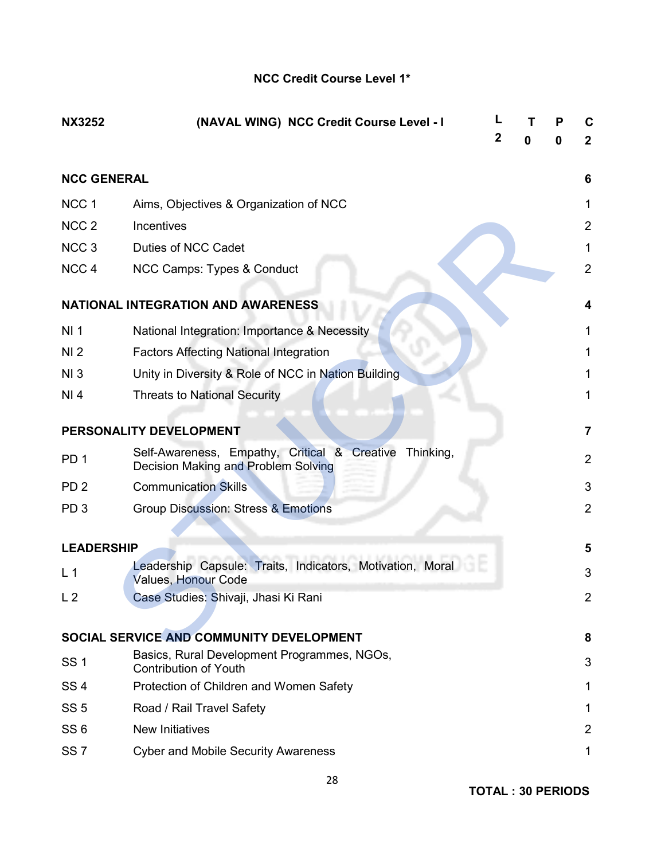# NCC Credit Course Level 1\*

| <b>NX3252</b>      | (NAVAL WING) NCC Credit Course Level - I                                                         | 2 | 0 | Р<br>0 | C<br>$\mathbf{2}$ |
|--------------------|--------------------------------------------------------------------------------------------------|---|---|--------|-------------------|
| <b>NCC GENERAL</b> |                                                                                                  |   |   |        | 6                 |
| NCC <sub>1</sub>   | Aims, Objectives & Organization of NCC                                                           |   |   |        | 1                 |
| NCC <sub>2</sub>   | Incentives                                                                                       |   |   |        | $\overline{2}$    |
| NCC <sub>3</sub>   | Duties of NCC Cadet                                                                              |   |   |        | 1                 |
| NCC <sub>4</sub>   | NCC Camps: Types & Conduct                                                                       |   |   |        | $\overline{2}$    |
|                    | <b>NATIONAL INTEGRATION AND AWARENESS</b>                                                        |   |   |        | 4                 |
| NI <sub>1</sub>    | National Integration: Importance & Necessity                                                     |   |   |        | 1                 |
| NI <sub>2</sub>    | <b>Factors Affecting National Integration</b>                                                    |   |   |        | 1                 |
| NI3                | Unity in Diversity & Role of NCC in Nation Building                                              |   |   |        | 1                 |
| NI 4               | <b>Threats to National Security</b>                                                              |   |   |        | 1                 |
|                    | PERSONALITY DEVELOPMENT                                                                          |   |   |        | $\overline{7}$    |
| PD <sub>1</sub>    | Self-Awareness, Empathy, Critical & Creative<br>Thinking,<br>Decision Making and Problem Solving |   |   |        | $\overline{2}$    |
| PD <sub>2</sub>    | <b>Communication Skills</b>                                                                      |   |   |        | 3                 |
| PD <sub>3</sub>    | <b>Group Discussion: Stress &amp; Emotions</b>                                                   |   |   |        | $\overline{2}$    |
|                    |                                                                                                  |   |   |        |                   |
| <b>LEADERSHIP</b>  |                                                                                                  |   |   |        | 5                 |
| L <sub>1</sub>     | Leadership Capsule: Traits, Indicators, Motivation, Moral<br><b>Values, Honour Code</b>          |   |   |        | 3                 |
| L <sub>2</sub>     | Case Studies: Shivaji, Jhasi Ki Rani                                                             |   |   |        | 2                 |
|                    | SOCIAL SERVICE AND COMMUNITY DEVELOPMENT                                                         |   |   |        | 8                 |
| <b>SS1</b>         | Basics, Rural Development Programmes, NGOs,<br><b>Contribution of Youth</b>                      |   |   |        | 3                 |
| SS <sub>4</sub>    | Protection of Children and Women Safety                                                          |   |   |        | 1                 |
| <b>SS 5</b>        | Road / Rail Travel Safety                                                                        |   |   |        | 1                 |
| SS <sub>6</sub>    | <b>New Initiatives</b>                                                                           |   |   |        | $\overline{2}$    |
| SS <sub>7</sub>    | <b>Cyber and Mobile Security Awareness</b>                                                       |   |   |        | 1                 |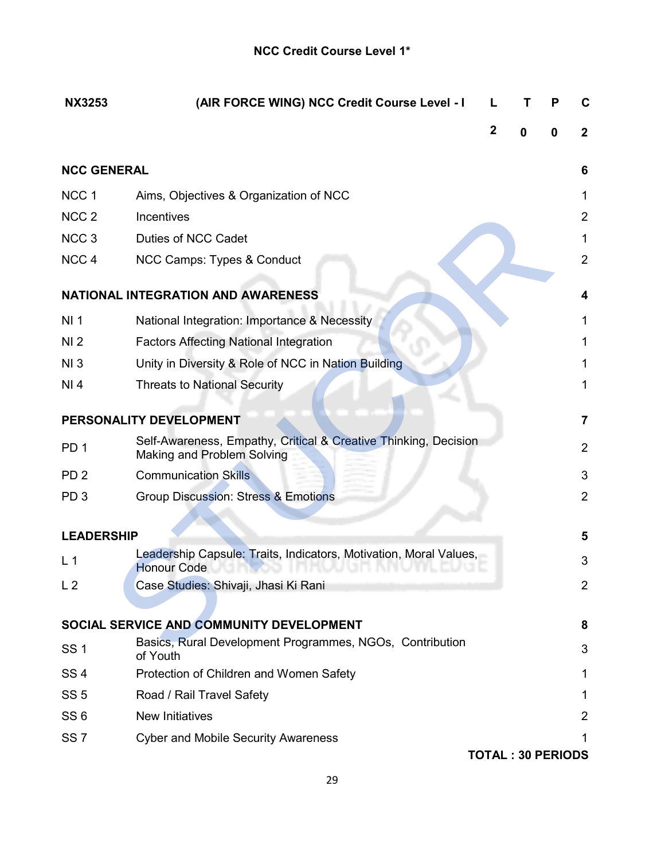| <b>NX3253</b>      | (AIR FORCE WING) NCC Credit Course Level - I                                                         |                          |   |   | C              |
|--------------------|------------------------------------------------------------------------------------------------------|--------------------------|---|---|----------------|
|                    |                                                                                                      | 2                        | n | 0 | $\overline{2}$ |
| <b>NCC GENERAL</b> |                                                                                                      |                          |   |   | 6              |
| NCC <sub>1</sub>   | Aims, Objectives & Organization of NCC                                                               |                          |   |   | 1              |
| NCC <sub>2</sub>   | Incentives                                                                                           |                          |   |   | $\overline{2}$ |
| NCC <sub>3</sub>   | Duties of NCC Cadet                                                                                  |                          |   |   | 1              |
| NCC <sub>4</sub>   | NCC Camps: Types & Conduct                                                                           |                          |   |   | $\overline{2}$ |
|                    | <b>NATIONAL INTEGRATION AND AWARENESS</b>                                                            |                          |   |   | 4              |
| NI <sub>1</sub>    | National Integration: Importance & Necessity                                                         |                          |   |   | 1              |
| NI <sub>2</sub>    | <b>Factors Affecting National Integration</b>                                                        |                          |   |   | 1              |
| NI3                | Unity in Diversity & Role of NCC in Nation Building                                                  |                          |   |   | 1              |
| NI 4               | <b>Threats to National Security</b>                                                                  |                          |   |   | 1              |
|                    | PERSONALITY DEVELOPMENT                                                                              |                          |   |   | 7              |
| PD <sub>1</sub>    | Self-Awareness, Empathy, Critical & Creative Thinking, Decision<br><b>Making and Problem Solving</b> |                          |   |   | $\overline{2}$ |
| PD <sub>2</sub>    | <b>Communication Skills</b>                                                                          |                          |   |   | 3              |
| PD <sub>3</sub>    | <b>Group Discussion: Stress &amp; Emotions</b>                                                       |                          |   |   | 2              |
| <b>LEADERSHIP</b>  |                                                                                                      |                          |   |   | 5              |
|                    | Leadership Capsule: Traits, Indicators, Motivation, Moral Values,                                    |                          |   |   |                |
| L <sub>1</sub>     | <b>Honour Code</b>                                                                                   |                          |   |   | 3              |
| L <sub>2</sub>     | Case Studies: Shivaji, Jhasi Ki Rani                                                                 |                          |   |   | $\overline{2}$ |
|                    | SOCIAL SERVICE AND COMMUNITY DEVELOPMENT                                                             |                          |   |   | 8              |
| <b>SS1</b>         | Basics, Rural Development Programmes, NGOs, Contribution<br>of Youth                                 |                          |   |   | 3              |
| SS <sub>4</sub>    | Protection of Children and Women Safety                                                              |                          |   |   | 1              |
| SS <sub>5</sub>    | Road / Rail Travel Safety                                                                            |                          |   |   | 1              |
| SS <sub>6</sub>    | <b>New Initiatives</b>                                                                               |                          |   |   | $\overline{2}$ |
| SS <sub>7</sub>    | <b>Cyber and Mobile Security Awareness</b>                                                           |                          |   |   | 1              |
|                    |                                                                                                      | <b>TOTAL: 30 PERIODS</b> |   |   |                |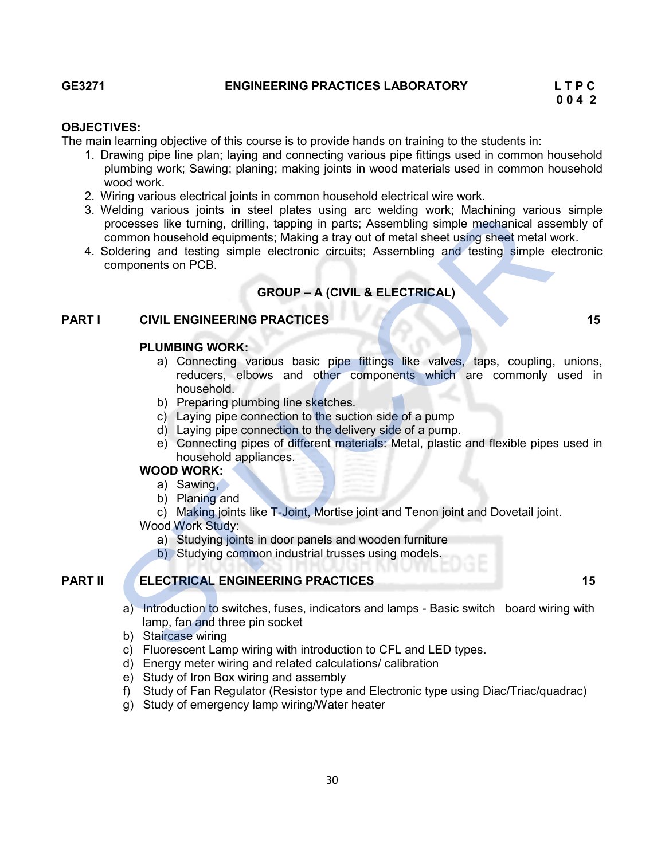#### GE3271 ENGINEERING PRACTICES LABORATORY L T P C

#### OBJECTIVES:

The main learning objective of this course is to provide hands on training to the students in:

- 1. Drawing pipe line plan; laying and connecting various pipe fittings used in common household plumbing work; Sawing; planing; making joints in wood materials used in common household wood work.
- 2. Wiring various electrical joints in common household electrical wire work.
- 3. Welding various joints in steel plates using arc welding work; Machining various simple processes like turning, drilling, tapping in parts; Assembling simple mechanical assembly of common household equipments; Making a tray out of metal sheet using sheet metal work. Velding various joints in stell plates using are welding varit, Machining simple mechanical assons the testing simple electronic circuits; Assembling simple mechanical assons<br>common household equipments; Making a tray out
- 4. Soldering and testing simple electronic circuits; Assembling and testing simple electronic components on PCB.

### GROUP – A (CIVIL & ELECTRICAL)

### PART I CIVIL ENGINEERING PRACTICES 15 15

#### PLUMBING WORK:

- a) Connecting various basic pipe fittings like valves, taps, coupling, unions, reducers, elbows and other components which are commonly used in household.
- b) Preparing plumbing line sketches.
- c) Laying pipe connection to the suction side of a pump
- d) Laying pipe connection to the delivery side of a pump.
- e) Connecting pipes of different materials: Metal, plastic and flexible pipes used in household appliances.

# WOOD WORK:

- a) Sawing,
- b) Planing and
- c) Making joints like T-Joint, Mortise joint and Tenon joint and Dovetail joint.

Wood Work Study:

- a) Studying joints in door panels and wooden furniture
- b) Studying common industrial trusses using models.

# **PART II** ELECTRICAL ENGINEERING PRACTICES 15

- a) Introduction to switches, fuses, indicators and lamps Basic switch board wiring with lamp, fan and three pin socket
- b) Staircase wiring
- c) Fluorescent Lamp wiring with introduction to CFL and LED types.
- d) Energy meter wiring and related calculations/ calibration
- e) Study of Iron Box wiring and assembly
- f) Study of Fan Regulator (Resistor type and Electronic type using Diac/Triac/quadrac)
- g) Study of emergency lamp wiring/Water heater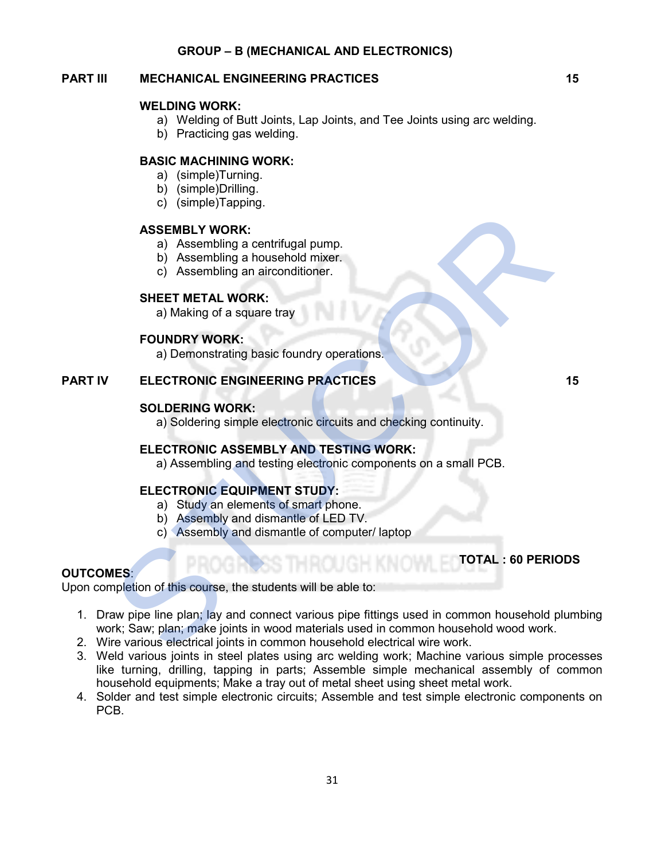#### GROUP – B (MECHANICAL AND ELECTRONICS)

# PART III MECHANICAL ENGINEERING PRACTICES 15

#### WELDING WORK:

- a) Welding of Butt Joints, Lap Joints, and Tee Joints using arc welding.
- b) Practicing gas welding.

### BASIC MACHINING WORK:

- a) (simple)Turning.
- b) (simple)Drilling.
- c) (simple)Tapping.

#### ASSEMBLY WORK:

- a) Assembling a centrifugal pump.
- b) Assembling a household mixer.
- c) Assembling an airconditioner.

#### SHEET METAL WORK:

a) Making of a square tray

#### FOUNDRY WORK:

a) Demonstrating basic foundry operations.

#### PART IV ELECTRONIC ENGINEERING PRACTICES 15

#### SOLDERING WORK:

a) Soldering simple electronic circuits and checking continuity.

### ELECTRONIC ASSEMBLY AND TESTING WORK:

a) Assembling and testing electronic components on a small PCB.

### ELECTRONIC EQUIPMENT STUDY:

a) Study an elements of smart phone.

- b) Assembly and dismantle of LED TV.
- c) Assembly and dismantle of computer/ laptop

### OUTCOMES:

Upon completion of this course, the students will be able to:

- 1. Draw pipe line plan; lay and connect various pipe fittings used in common household plumbing work; Saw; plan; make joints in wood materials used in common household wood work. STATISTY WORK:<br>
a) Assembling a centrifugal pump.<br>
b) Assembling a nearchddinner.<br>
c) Assembling an airconditioner.<br>
SHEET METAL WORK:<br>
a) Making of a square tray<br>
FOUNDRY WORK:<br>
a) Demonstrating basic foundry operations.<br>
- 2. Wire various electrical joints in common household electrical wire work.
- 3. Weld various joints in steel plates using arc welding work; Machine various simple processes like turning, drilling, tapping in parts; Assemble simple mechanical assembly of common household equipments; Make a tray out of metal sheet using sheet metal work.
- 4. Solder and test simple electronic circuits; Assemble and test simple electronic components on PCB.

TOTAL : 60 PERIODS